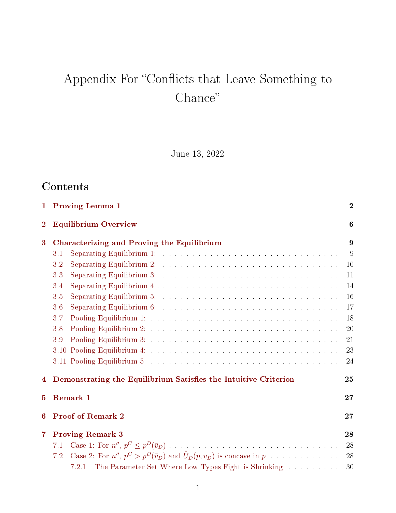# Appendix For "Conflicts that Leave Something to Chance"

June 13, 2022

# **Contents**

|                | 1 Proving Lemma 1                                                                                                   |    |  |  |  |  |
|----------------|---------------------------------------------------------------------------------------------------------------------|----|--|--|--|--|
| $\overline{2}$ | <b>Equilibrium Overview</b>                                                                                         |    |  |  |  |  |
| 3              | Characterizing and Proving the Equilibrium                                                                          |    |  |  |  |  |
|                | 3.1                                                                                                                 | 9  |  |  |  |  |
|                | 3.2                                                                                                                 | 10 |  |  |  |  |
|                | 3.3                                                                                                                 | 11 |  |  |  |  |
|                | 3.4                                                                                                                 | 14 |  |  |  |  |
|                | 3.5                                                                                                                 | 16 |  |  |  |  |
|                | Separating Equilibrium 6: $\ldots \ldots \ldots \ldots \ldots \ldots \ldots \ldots \ldots \ldots$<br>3.6            | 17 |  |  |  |  |
|                | 3.7                                                                                                                 | 18 |  |  |  |  |
|                | 3.8                                                                                                                 | 20 |  |  |  |  |
|                | 3.9                                                                                                                 | 21 |  |  |  |  |
|                |                                                                                                                     | 23 |  |  |  |  |
|                |                                                                                                                     | 24 |  |  |  |  |
| 4              | Demonstrating the Equilibrium Satisfies the Intuitive Criterion<br>25                                               |    |  |  |  |  |
| 5              | Remark 1                                                                                                            | 27 |  |  |  |  |
| 6              | <b>Proof of Remark 2</b>                                                                                            | 27 |  |  |  |  |
| $\overline{7}$ | <b>Proving Remark 3</b>                                                                                             | 28 |  |  |  |  |
|                | 7.1                                                                                                                 | 28 |  |  |  |  |
|                | Case 2: For $n''$ , $p^C > p^D(\bar{v}_D)$ and $\hat{U}_D(p, v_D)$ is concave in $p \dots \dots \dots \dots$<br>7.2 | 28 |  |  |  |  |
|                | The Parameter Set Where Low Types Fight is Shrinking<br>7.2.1                                                       | 30 |  |  |  |  |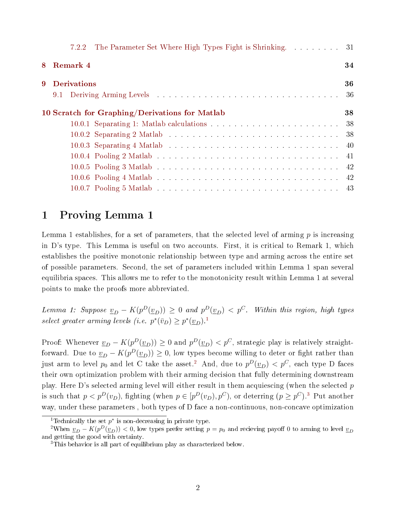|   | The Parameter Set Where High Types Fight is Shrinking. 31<br>7.2.2 |     |
|---|--------------------------------------------------------------------|-----|
| 8 | Remark 4                                                           | 34  |
| 9 | <b>Derivations</b>                                                 | 36  |
|   |                                                                    | -36 |
|   | 10 Scratch for Graphing/Derivations for Matlab                     | 38  |
|   |                                                                    |     |
|   |                                                                    |     |
|   |                                                                    |     |
|   |                                                                    |     |
|   |                                                                    |     |
|   |                                                                    |     |
|   |                                                                    |     |
|   |                                                                    |     |

# <span id="page-1-0"></span>1 Proving Lemma 1

Lemma 1 establishes, for a set of parameters, that the selected level of arming  $p$  is increasing in D's type. This Lemma is useful on two accounts. First, it is critical to Remark 1, which establishes the positive monotonic relationship between type and arming across the entire set of possible parameters. Second, the set of parameters included within Lemma 1 span several equilibria spaces. This allows me to refer to the monotonicity result within Lemma 1 at several points to make the proofs more abbreviated.

Lemma 1: Suppose  $\underline{v}_D - K(p^D(\underline{v}_D)) \geq 0$  and  $p^D(\underline{v}_D) < p^C$ . Within this region, high types select greater arming levels (i.e.  $p^*(\bar{v}_D) \geq p^*(\underline{v}_D)$ .<sup>[1](#page-1-1)</sup>

Proof: Whenever  $\underline{v}_D - K(p^D(\underline{v}_D)) \geq 0$  and  $p^D(\underline{v}_D) < p^C$ , strategic play is relatively straightforward. Due to  $\underline{v}_D - K(p^D(\underline{v}_D)) \geq 0$ , low types become willing to deter or fight rather than just arm to level  $p_0$  and let C take the asset.<sup>[2](#page-1-2)</sup> And, due to  $p^D(\underline{v}_D) < p^C$ , each type D faces their own optimization problem with their arming decision that fully determining downstream play. Here D's selected arming level will either result in them acquiescing (when the selected p is such that  $p < p^D(v_D)$ , fighting (when  $p \in [p^D(v_D), p^C)$ , or deterring  $(p \geq p^C)^{3}$  $(p \geq p^C)^{3}$  $(p \geq p^C)^{3}$  Put another way, under these parameters , both types of D face a non-continuous, non-concave optimization

<span id="page-1-2"></span><span id="page-1-1"></span><sup>&</sup>lt;sup>1</sup>Technically the set  $p^*$  is non-decreasing in private type.

<sup>&</sup>lt;sup>2</sup>When  $v_D - K(p^D(\underline{v}_D)) < 0$ , low types prefer setting  $p = p_0$  and recieving payoff 0 to arming to level  $v_D$ and getting the good with certainty.

<span id="page-1-3"></span><sup>3</sup>This behavior is all part of equilibrium play as characterized below.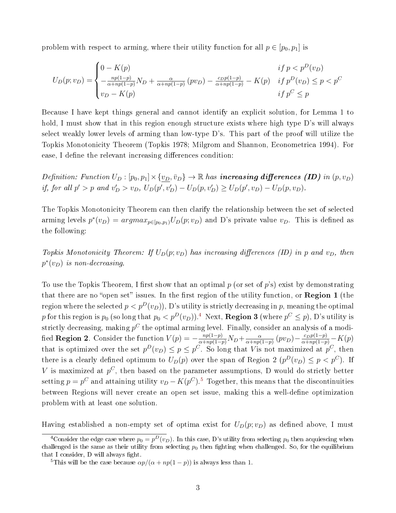problem with respect to arming, where their utility function for all  $p \in [p_0, p_1]$  is

$$
U_D(p; v_D) = \begin{cases} 0 - K(p) & if \ p < p^D(v_D) \\ -\frac{np(1-p)}{\alpha + np(1-p)} N_D + \frac{\alpha}{\alpha + np(1-p)} (pv_D) - \frac{c_D p(1-p)}{\alpha + np(1-p)} - K(p) & if \ p^D(v_D) \le p < p^C \\ v_D - K(p) & if \ p^C \le p \end{cases}
$$

Because I have kept things general and cannot identify an explicit solution, for Lemma 1 to hold, I must show that in this region enough structure exists where high type D's will always select weakly lower levels of arming than low-type D's. This part of the proof will utilize the Topkis Monotonicity Theorem (Topkis 1978; Milgrom and Shannon, Econometrica 1994). For ease, I define the relevant increasing differences condition:

Definition: Function  $U_D : [p_0, p_1] \times \{v_D, \bar{v}_D\} \to \mathbb{R}$  has **increasing differences (ID)** in  $(p, v_D)$ if, for all  $p' > p$  and  $v'_D > v_D$ ,  $U_D(p', v'_D) - U_D(p, v'_D) \ge U_D(p', v_D) - U_D(p, v_D)$ .

The Topkis Monotonicity Theorem can then clarify the relationship between the set of selected arming levels  $p^*(v_D) = argmax_{p \in [p_0, p_1)} U_D(p; v_D)$  and D's private value  $v_D$ . This is defined as the following:

Topkis Monotonicity Theorem: If  $U_D(p; v_D)$  has increasing differences (ID) in p and  $v_D$ , then  $p^*(v_D)$  is non-decreasing.

To use the Topkis Theorem, I first show that an optimal  $p$  (or set of  $p$ 's) exist by demonstrating that there are no "open set" issues. In the first region of the utility function, or **Region 1** (the region where the selected  $p < p<sup>D</sup>(v<sub>D</sub>)$ , D's utility is strictly decreasing in p, meaning the optimal  $p$  for this region is  $p_0$  (so long that  $p_0 < p^D(v_D)$ ). $^4$  $^4$  Next,  ${\bf Region\ 3}$  (where  $p^C \leq p),$   ${\rm D's\ utility\ is}$ strictly decreasing, making  $p^C$  the optimal arming level. Finally, consider an analysis of a modified Region 2. Consider the function  $V(p) = -\frac{np(1-p)}{\alpha + np(1-p)}N_D + \frac{\alpha}{\alpha + np(p)}$  $\frac{\alpha}{\alpha+np(1-p)}(pv_D)-\frac{c_Dp(1-p)}{\alpha+np(1-p)}-K(p)$ that is optimized over the set  $p^D(v_D) \leq p \leq p^C$ . So long that V is not maximized at  $p^C$ , then there is a clearly defined optimum to  $U_D(p)$  over the span of Region 2  $(p^D(v_D) \leq p < p^C)$ . If V is maximized at  $p^C$ , then based on the parameter assumptions, D would do strictly better setting  $p = p^C$  and attaining utility  $v_D - K(p^C)$ .<sup>[5](#page-2-1)</sup> Together, this means that the discontinuities between Regions will never create an open set issue, making this a well-define optimization problem with at least one solution.

Having established a non-empty set of optima exist for  $U_D(p; v_D)$  as defined above, I must

<span id="page-2-0"></span><sup>&</sup>lt;sup>4</sup>Consider the edge case where  $p_0 = p^D(v_D)$ . In this case, D's utility from selecting  $p_0$  then acquiescing when challenged is the same as their utility from selecting  $p_0$  then fighting when challenged. So, for the equilibrium that I consider,  $D$  will always fight.

<span id="page-2-1"></span><sup>&</sup>lt;sup>5</sup>This will be the case because  $\alpha p/(\alpha + np(1-p))$  is always less than 1.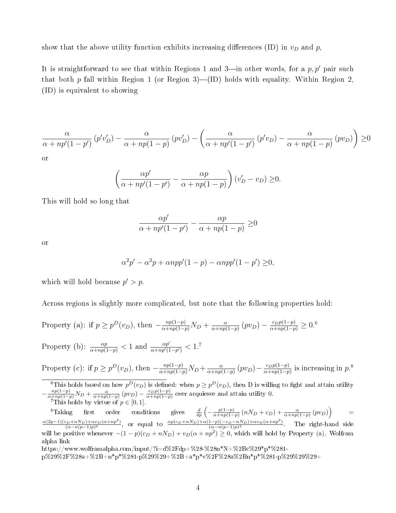show that the above utility function exhibits increasing differences (ID) in  $v_D$  and  $p$ ,

It is straightforward to see that within Regions 1 and 3—in other words, for a  $p, p'$  pair such that both p fall within Region 1 (or Region 3)—(ID) holds with equality. Within Region 2, (ID) is equivalent to showing

$$
\frac{\alpha}{\alpha + np'(1-p')} \left( p'v'_D \right) - \frac{\alpha}{\alpha + np(1-p)} \left( pv'_D \right) - \left( \frac{\alpha}{\alpha + np'(1-p')} \left( p'v_D \right) - \frac{\alpha}{\alpha + np(1-p)} \left( pv_D \right) \right) \ge 0
$$
 or

$$
\left(\frac{\alpha p'}{\alpha + np'(1-p')} - \frac{\alpha p}{\alpha + np(1-p)}\right) (v'_D - v_D) \ge 0.
$$

This will hold so long that

$$
\frac{\alpha p'}{\alpha + np'(1-p')} - \frac{\alpha p}{\alpha + np(1-p)} \ge 0
$$

or

$$
\alpha^2 p' - \alpha^2 p + \alpha n p p' (1 - p) - \alpha n p p' (1 - p') \ge 0,
$$

which will hold because  $p' > p$ .

Across regions is slightly more complicated, but note that the following properties hold:

Property (a): if 
$$
p \ge p^D(v_D)
$$
, then  $-\frac{np(1-p)}{\alpha+np(1-p)}N_D + \frac{\alpha}{\alpha+np(1-p)}(pv_D) - \frac{c_Dp(1-p)}{\alpha+np(1-p)} \ge 0.$ <sup>6</sup>

Property (b): 
$$
\frac{\alpha p}{\alpha + np(1-p)} < 1
$$
 and  $\frac{\alpha p'}{\alpha + np'(1-p')} < 1.$ <sup>7</sup>

Property (c): if 
$$
p \ge p^D(v_D)
$$
, then  $-\frac{np(1-p)}{\alpha+np(1-p)}N_D + \frac{\alpha}{\alpha+np(1-p)}(pv_D) - \frac{c_Dp(1-p)}{\alpha+np(1-p)}$  is increasing in  $p$ .<sup>8</sup>

<span id="page-3-0"></span><sup>6</sup>This holds based on how  $p^D(v_D)$  is defined: when  $p \ge p^D(v_D)$ , then D is willing to fight and attain utility  $-\frac{np(1-p)}{\alpha+np(1-p)}N_D+\frac{\alpha}{\alpha+np(1-p)}(pv_D)-\frac{c_Dp(1-p)}{\alpha+np(1-p)}$  over acquiesce and attain utility 0.

<span id="page-3-2"></span><span id="page-3-1"></span><sup>7</sup>This holds by virtue of 
$$
p \in [0, 1]
$$
.

<sup>8</sup>Taking first order conditions gives  $\frac{d}{dp} \left( -\frac{p(1-p)}{\alpha + np(1-p)} \right)$  $\frac{p(1-p)}{\alpha+np(1-p)}\left(nN_D+c_D\right)+\frac{\alpha}{\alpha+np(1-p)}\left(pv_D\right)$  =  $\alpha(2p-1)(c_D+nN_D)+\alpha v_D(\alpha+np^2)$  $\frac{\alpha_{D}+nN_{D}+\alpha v_{D}(\alpha+np^{2})}{(\alpha-n(p-1)p)^{2}},$  or equal to  $\frac{\alpha p(c_{D}+nN_{D})+\alpha(1-p)(-c_{D}-nN_{D})+\alpha v_{D}(\alpha+np^{2})}{(\alpha-n(p-1)p)^{2}}$  $\frac{(a-n)(-c_D-nN_D)+\alpha v_D(\alpha+nP)}{(\alpha-n(p-1)p)^2}$ . The right-hand side will be positive whenever  $-(1-p)(c_D + nN_D) + v_D(\alpha + np^2) \ge 0$ , which will hold by Property (a). Wolfram alpha link

https://www.wolframalpha.com/input/?i=d%2Fdp+%28-%28n\*N+%2Bc%29\*p\*%281-

p%29%2F%28a+%2B+n\*p\*%281-p%29%29+%2B+a\*p\*v%2F%28a%2Bn\*p\*%281-p%29%29%29+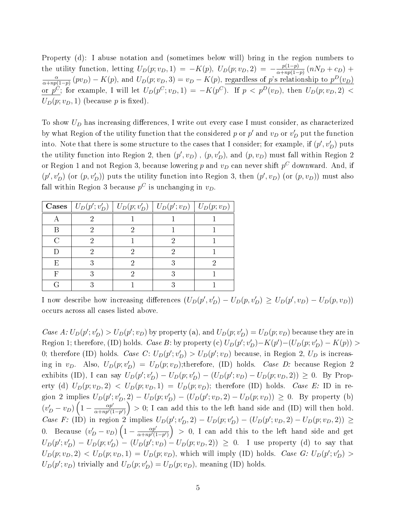Property (d): I abuse notation and (sometimes below will) bring in the region numbers to the utility function, letting  $U_D(p; v_D, 1) = -K(p)$ ,  $U_D(p; v_D, 2) = -\frac{p(1-p)}{\alpha + np(1-p)}$  $\frac{p(1-p)}{\alpha+np(1-p)}(nN_D+c_D) +$ α  $\frac{\alpha}{\alpha+np(1-p)}(pv_D) - K(p)$ , and  $U_D(p; v_D, 3) = v_D - K(p)$ , <u>regardless of p's relationship to  $p^D(v_D)$ </u> or  $p^C$ ; for example, I will let  $U_D(p^C; v_D, 1) = -K(p^C)$ . If  $p < p^D(v_D)$ , then  $U_D(p; v_D, 2) <$  $U_D(p; v_D, 1)$  (because p is fixed).

To show  $U_D$  has increasing differences, I write out every case I must consider, as characterized by what Region of the utility function that the considered p or  $p'$  and  $v_D$  or  $v'_D$  put the function into. Note that there is some structure to the cases that I consider; for example, if  $(p', v'_D)$  puts the utility function into Region 2, then  $(p', v_D)$ ,  $(p, v'_D)$ , and  $(p, v_D)$  must fall within Region 2 or Region 1 and not Region 3, because lowering  $p$  and  $v_D$  can never shift  $p^C$  downward. And, if  $(p', v'_D)$  (or  $(p, v'_D)$ ) puts the utility function into Region 3, then  $(p', v_D)$  (or  $(p, v_D)$ ) must also fall within Region 3 because  $p^C$  is unchanging in  $v_D$ .

|    | <b>Cases</b> $\mid U_D(p'; v'_D) \mid U_D(p; v'_D) \mid U_D(p'; v_D) \mid U_D(p; v_D)$ |  |  |
|----|----------------------------------------------------------------------------------------|--|--|
|    |                                                                                        |  |  |
|    |                                                                                        |  |  |
|    |                                                                                        |  |  |
|    |                                                                                        |  |  |
| Н, |                                                                                        |  |  |
|    |                                                                                        |  |  |
|    |                                                                                        |  |  |

I now describe how increasing differences  $(U_D(p', v'_D) - U_D(p, v'_D) \ge U_D(p', v_D) - U_D(p, v_D))$ occurs across all cases listed above.

Case  $A: U_D(p'; v_D') > U_D(p'; v_D)$  by property (a), and  $U_D(p; v_D') = U_D(p; v_D)$  because they are in Region 1; therefore, (ID) holds. Case B: by property (c)  $U_D(p'; v'_D) - K(p') - (U_D(p; v'_D) - K(p)) >$ 0; therefore (ID) holds. *Case C*:  $U_D(p'; v'_D) > U_D(p'; v_D)$  because, in Region 2,  $U_D$  is increasing in  $v_D$ . Also,  $U_D(p; v'_D) = U_D(p; v_D);$ therefore, (ID) holds. Case D: because Region 2 exhibits (ID), I can say  $U_D(p'; v'_D) - U_D(p; v'_D) - (U_D(p'; v_D) - U_D(p; v_D, 2)) \geq 0$ . By Property (d)  $U_D(p; v_D, 2)$  <  $U_D(p; v_D, 1) = U_D(p; v_D)$ ; therefore (ID) holds. Case E: ID in region 2 implies  $U_D(p'; v'_D, 2) - U_D(p; v'_D) - (U_D(p'; v_D, 2) - U_D(p; v_D)) \geq 0$ . By property (b)  $(v'_D - v_D) \left(1 - \frac{\alpha p'}{\alpha + np'(1)}\right)$  $\frac{\alpha p'}{\alpha + np'(1-p')}$  > 0; I can add this to the left hand side and (ID) will then hold. Case F: (ID) in region 2 implies  $U_D(p'; v'_D, 2) - U_D(p; v'_D) - (U_D(p'; v_D, 2) - U_D(p; v_D, 2)) \ge$ 0. Because  $(v'_D - v_D) \left(1 - \frac{\alpha p'}{\alpha + n p'(1)}\right)$  $\frac{\alpha p'}{\alpha + np'(1-p')}$  > 0, I can add this to the left hand side and get  $U_D(p'; v'_D) - U_D(p; v'_D) - (U_D(p'; v_D) - U_D(p; v_D, 2)) \geq 0.$  I use property (d) to say that  $U_D(p; v_D, 2) < U_D(p; v_D, 1) = U_D(p; v_D)$ , which will imply (ID) holds. Case G:  $U_D(p'; v'_D)$  $U_D(p'; v_D)$  trivially and  $U_D(p; v'_D) = U_D(p; v_D)$ , meaning (ID) holds.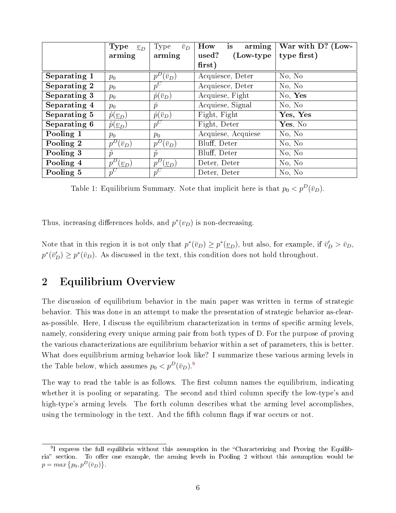|              | Type<br>$\underline{v}_D$      | $\bar{v}_D$<br>Type     | is<br>arming<br>How   | War with D? (Low- |
|--------------|--------------------------------|-------------------------|-----------------------|-------------------|
|              | arming                         | arming                  | used?<br>$(Low-type)$ | type first)       |
|              |                                |                         | first)                |                   |
| Separating 1 | $p_0$                          | $p^D(\bar v_D)$         | Acquiesce, Deter      | No, No            |
| Separating 2 | $p_0$                          | $p^C$                   | Acquiesce, Deter      | No, No            |
| Separating 3 | $p_0$                          | $\hat{p}(\bar{v}_D)$    | Acquiese, Fight       | No, Yes           |
| Separating 4 | $p_0$                          | $\bar{p}$               | Acquiese, Signal      | No, No            |
| Separating 5 | $\hat{p}(\underline{v}_D)$     | $\hat{p}(\bar{v}_D)$    | Fight, Fight          | Yes, Yes          |
| Separating 6 | $\hat{p}(\underline{v}_D)$     | $p^C$                   | Fight, Deter          | Yes, No           |
| Pooling 1    | $p_0$                          | $p_0$                   | Acquiese, Acquiese    | No, No            |
| Pooling 2    | $'(\bar{v}_D)$<br>$p^D$        | $'(\bar{v}_D)$<br>$p^L$ | Bluff, Deter          | No, No            |
| Pooling 3    | $\mathcal{p}$                  | $\mathcal{p}$           | Bluff, Deter          | No, No            |
| Pooling 4    | $p^D$<br>$\mathcal{L}_{(v_D)}$ | $p^D(\underline{v}_D)$  | Deter, Deter          | No, No            |
| Pooling 5    | $\cdot \; p^C$                 | $p^C$                   | Deter, Deter          | No, No            |

Table 1: Equilibrium Summary. Note that implicit here is that  $p_0 < p^D(\bar{v}_D)$ .

Thus, increasing differences holds, and  $p^*(v_D)$  is non-decreasing.

Note that in this region it is not only that  $p^*(\bar{v}_D) \geq p^*(\underline{v}_D)$ , but also, for example, if  $\bar{v}'_D > \bar{v}_D$ ,  $p^*(\bar{v}_D') \geq p^*(\bar{v}_D)$ . As discussed in the text, this condition does not hold throughout.

# <span id="page-5-0"></span>2 Equilibrium Overview

The discussion of equilibrium behavior in the main paper was written in terms of strategic behavior. This was done in an attempt to make the presentation of strategic behavior as-clearas-possible. Here, I discuss the equilibrium characterization in terms of specific arming levels, namely, considering every unique arming pair from both types of D. For the purpose of proving the various characterizations are equilibrium behavior within a set of parameters, this is better. What does equilibrium arming behavior look like? I summarize these various arming levels in the Table below, which assumes  $p_0 < p^D(\bar{v}_D)^{9}$  $p_0 < p^D(\bar{v}_D)^{9}$  $p_0 < p^D(\bar{v}_D)^{9}$ .

The way to read the table is as follows. The first column names the equilibrium, indicating whether it is pooling or separating. The second and third column specify the low-type's and high-type's arming levels. The forth column describes what the arming level accomplishes, using the terminology in the text. And the fifth column flags if war occurs or not.

<span id="page-5-1"></span><sup>&</sup>lt;sup>9</sup>I express the full equilibria without this assumption in the "Characterizing and Proving the Equilibria" section. To offer one example, the arming levels in Pooling 2 without this assumption would be  $p = max\{p_0, p^D(\bar{v}_D)\}.$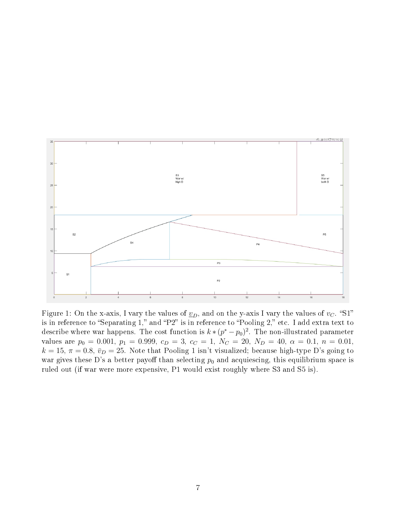

Figure 1: On the x-axis, I vary the values of  $\underline{v}_D$ , and on the y-axis I vary the values of  $v_C$ . "S1" is in reference to "Separating 1," and "P2" is in reference to "Pooling 2," etc. I add extra text to describe where war happens. The cost function is  $k * (p^* - p_0)^2$ . The non-illustrated parameter values are  $p_0 = 0.001$ ,  $p_1 = 0.999$ ,  $c_D = 3$ ,  $c_C = 1$ ,  $N_C = 20$ ,  $N_D = 40$ ,  $\alpha = 0.1$ ,  $n = 0.01$ ,  $k = 15$ ,  $\pi = 0.8$ ,  $\bar{v}_D = 25$ . Note that Pooling 1 isn't visualized; because high-type D's going to war gives these D's a better payoff than selecting  $p_0$  and acquiescing, this equilibrium space is ruled out (if war were more expensive, P1 would exist roughly where S3 and S5 is).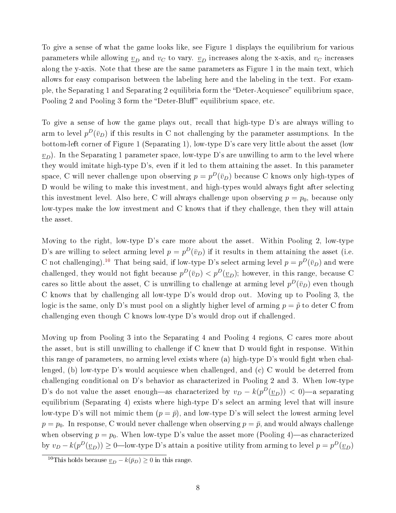To give a sense of what the game looks like, see Figure 1 displays the equilibrium for various parameters while allowing  $\underline{v}_D$  and  $v_C$  to vary.  $\underline{v}_D$  increases along the x-axis, and  $v_C$  increases along the y-axis. Note that these are the same parameters as Figure 1 in the main text, which allows for easy comparison between the labeling here and the labeling in the text. For example, the Separating 1 and Separating 2 equilibria form the "Deter-Acquiesce" equilibrium space. Pooling 2 and Pooling 3 form the "Deter-Bluff" equilibrium space, etc.

To give a sense of how the game plays out, recall that high-type D's are always willing to arm to level  $p^D(\bar{v}_D)$  if this results in C not challenging by the parameter assumptions. In the bottom-left corner of Figure 1 (Separating 1), low-type D's care very little about the asset (low  $v_D$ ). In the Separating 1 parameter space, low-type D's are unwilling to arm to the level where they would imitate high-type D's, even if it led to them attaining the asset. In this parameter space, C will never challenge upon observing  $p = p^D(\bar v_D)$  because C knows only high-types of D would be wiling to make this investment, and high-types would always fight after selecting this investment level. Also here, C will always challenge upon observing  $p = p_0$ , because only low-types make the low investment and C knows that if they challenge, then they will attain the asset.

Moving to the right, low-type D's care more about the asset. Within Pooling 2, low-type D's are willing to select arming level  $p = p^D(\bar{v}_D)$  if it results in them attaining the asset (i.e. C not challenging).<sup>[10](#page-7-0)</sup> That being said, if low-type D's select arming level  $p = p^D(\bar{v}_D)$  and were challenged, they would not fight because  $p^D(\bar{v}_D) < p^D(\underline{v}_D)$ ; however, in this range, because C cares so little about the asset, C is unwilling to challenge at arming level  $p^D(\bar v_D)$  even though C knows that by challenging all low-type D's would drop out. Moving up to Pooling 3, the logic is the same, only D's must pool on a slightly higher level of arming  $p = \tilde{p}$  to deter C from challenging even though C knows low-type D's would drop out if challenged.

Moving up from Pooling 3 into the Separating 4 and Pooling 4 regions, C cares more about the asset, but is still unwilling to challenge if  $C$  knew that  $D$  would fight in response. Within this range of parameters, no arming level exists where  $(a)$  high-type D's would fight when challenged, (b) low-type D's would acquiesce when challenged, and (c) C would be deterred from challenging conditional on D's behavior as characterized in Pooling 2 and 3. When low-type D's do not value the asset enough—as characterized by  $v_D - k(p^D(\underline{v}_D)) < 0$ )—a separating equilibrium (Separating 4) exists where high-type D's select an arming level that will insure low-type D's will not mimic them  $(p = \bar{p})$ , and low-type D's will select the lowest arming level  $p = p_0$ . In response, C would never challenge when observing  $p = \bar{p}$ , and would always challenge when observing  $p = p_0$ . When low-type D's value the asset more (Pooling 4)—as characterized by  $v_D - k(p^D(\underline{v}_D)) \ge 0$ —low-type D's attain a positive utility from arming to level  $p = p^D(\underline{v}_D)$ 

<span id="page-7-0"></span><sup>&</sup>lt;sup>10</sup>This holds because  $\underline{v}_D - k(\bar{p}_D) \ge 0$  in this range.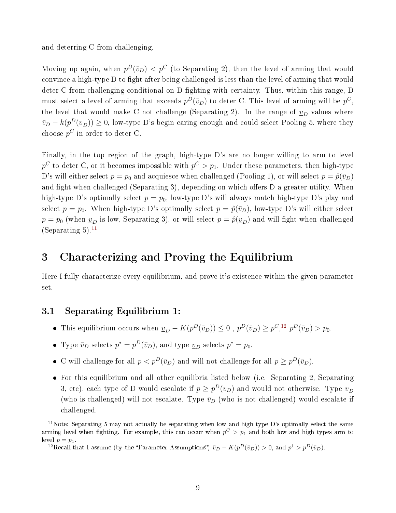and deterring C from challenging.

Moving up again, when  $p^D(\bar{v}_D) < p^C$  (to Separating 2), then the level of arming that would convince a high-type D to fight after being challenged is less than the level of arming that would deter C from challenging conditional on D fighting with certainty. Thus, within this range, D must select a level of arming that exceeds  $p^D(\bar v_D)$  to deter C. This level of arming will be  $p^C,$ the level that would make C not challenge (Separating 2). In the range of  $v_D$  values where  $\bar{v}_D - k(p^D(\underline{v}_D)) \ge 0$ , low-type D's begin caring enough and could select Pooling 5, where they choose  $p^C$  in order to deter C.

Finally, in the top region of the graph, high-type D's are no longer willing to arm to level  $p^C$  to deter C, or it becomes impossible with  $p^C>p_1$ . Under these parameters, then high-type D's will either select  $p = p_0$  and acquiesce when challenged (Pooling 1), or will select  $p = \hat{p}(\bar{v}_D)$ and fight when challenged (Separating 3), depending on which offers D a greater utility. When high-type D's optimally select  $p = p_0$ , low-type D's will always match high-type D's play and select  $p = p_0$ . When high-type D's optimally select  $p = \hat{p}(\bar{v}_D)$ , low-type D's will either select  $p = p_0$  (when  $\underline{v}_D$  is low, Separating 3), or will select  $p = \hat{p}(\underline{v}_D)$  and will fight when challenged (Separating 5). $^{11}$  $^{11}$  $^{11}$ 

# <span id="page-8-0"></span>3 Characterizing and Proving the Equilibrium

Here I fully characterize every equilibrium, and prove it's existence within the given parameter set.

# <span id="page-8-1"></span>3.1 Separating Equilibrium 1:

- This equilibrium occurs when  $\underline{v}_D K(p^D(\bar{v}_D)) \leq 0$ ,  $p^D(\bar{v}_D) \geq p^C,$ <sup>[12](#page-8-3)</sup>  $p^D(\bar{v}_D) > p_0$ .
- Type  $\bar{v}_D$  selects  $p^* = p^D(\bar{v}_D)$ , and type  $\underline{v}_D$  selects  $p^* = p_0$ .
- C will challenge for all  $p < p^D(\bar{v}_D)$  and will not challenge for all  $p \geq p^D(\bar{v}_D)$ .
- For this equilibrium and all other equilibria listed below (i.e. Separating 2, Separating 3, etc), each type of D would escalate if  $p \ge p^D(v_D)$  and would not otherwise. Type  $\underline{v}_D$ (who is challenged) will not escalate. Type  $\bar{v}_D$  (who is not challenged) would escalate if challenged.

<span id="page-8-3"></span><sup>12</sup>Recall that I assume (by the "Parameter Assumptions")  $\bar{v}_D - K(p^D(\bar{v}_D)) > 0$ , and  $p^1 > p^D(\bar{v}_D)$ .

<span id="page-8-2"></span><sup>&</sup>lt;sup>11</sup>Note: Separating 5 may not actually be separating when low and high type D's optimally select the same arming level when fighting. For example, this can occur when  $p^C > p_1$  and both low and high types arm to level  $p = p_1$ .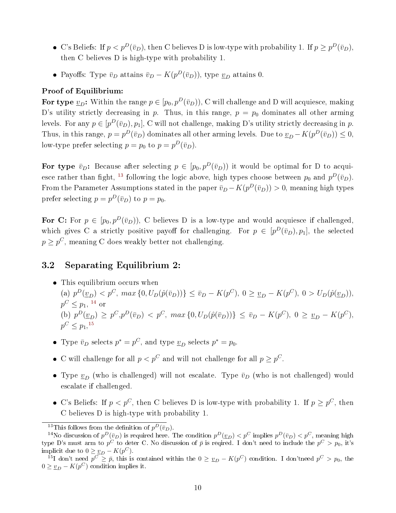- C's Beliefs: If  $p < p^D(\bar{v}_D)$ , then C believes D is low-type with probability 1. If  $p \geq p^D(\bar{v}_D)$ , then C believes D is high-type with probability 1.
- Payoffs: Type  $\bar{v}_D$  attains  $\bar{v}_D K(p^D(\bar{v}_D))$ , type  $\underline{v}_D$  attains 0.

#### Proof of Equilibrium:

For type  $\underline{v}_D$ : Within the range  $p \in [p_0, p^D(\bar{v}_D))$ , C will challenge and D will acquiesce, making D's utility strictly decreasing in p. Thus, in this range,  $p = p_0$  dominates all other arming levels. For any  $p \in [p^D(\bar v_D), p_1]$ , C will not challenge, making D's utility strictly decreasing in  $p$ . Thus, in this range,  $p = p^D(\bar{v}_D)$  dominates all other arming levels. Due to  $\underline{v}_D - K(p^D(\bar{v}_D)) \leq 0$ , low-type prefer selecting  $p = p_0$  to  $p = p^D(\bar{v}_D)$ .

For type  $\bar{v}_D$ : Because after selecting  $p \in [p_0, p^D(\bar{v}_D))$  it would be optimal for D to acqui-esce rather than fight, <sup>[13](#page-9-1)</sup> following the logic above, high types choose between  $p_0$  and  $p^D(\bar{v}_D)$ . From the Parameter Assumptions stated in the paper  $\bar{v}_D - K(p^D(\bar{v}_D)) > 0$ , meaning high types prefer selecting  $p = p^D(\bar{v}_D)$  to  $p = p_0$ .

For C: For  $p \in [p_0, p^D(\bar{v}_D))$ , C believes D is a low-type and would acquiesce if challenged, which gives C a strictly positive payoff for challenging. For  $p \in [p^D(\bar{v}_D), p_1]$ , the selected  $p \geq p^{C}$ , meaning C does weakly better not challenging.

# <span id="page-9-0"></span>3.2 Separating Equilibrium 2:

This equilibrium occurs when

(a)  $p^{D}(\underline{v}_{D}) < p^{C}$ ,  $max\{0, U_{D}(\hat{p}(\bar{v}_{D}))\} \leq \bar{v}_{D} - K(p^{C}), 0 \geq \underline{v}_{D} - K(p^{C}), 0 > U_{D}(\hat{p}(\underline{v}_{D})),$  $p^C \leq p_1$ , <sup>[14](#page-9-2)</sup> or (b)  $p^{D}(\underline{v}_{D}) \geq p^{C}, p^{D}(\bar{v}_{D}) < p^{C}, \ max\{0, U_{D}(\hat{p}(\bar{v}_{D}))\} \leq \bar{v}_{D} - K(p^{C}), 0 \geq \underline{v}_{D} - K(p^{C}),$  $p^C \leq p_1, ^{15}$  $p^C \leq p_1, ^{15}$  $p^C \leq p_1, ^{15}$ 

- Type  $\bar{v}_D$  selects  $p^* = p^C$ , and type  $\underline{v}_D$  selects  $p^* = p_0$ .
- C will challenge for all  $p < p^C$  and will not challenge for all  $p \geq p^C$ .
- Type  $\underline{v}_D$  (who is challenged) will not escalate. Type  $\bar{v}_D$  (who is not challenged) would escalate if challenged.
- C's Beliefs: If  $p < p^C$ , then C believes D is low-type with probability 1. If  $p \geq p^C$ , then C believes D is high-type with probability 1.

<span id="page-9-2"></span><span id="page-9-1"></span><sup>&</sup>lt;sup>13</sup>This follows from the definition of  $p^D(\bar{v}_D)$ .

<sup>&</sup>lt;sup>14</sup>No discussion of  $p^D(\bar{v}_D)$  is required here. The condition  $p^D(\underline{v}_D) < p^C$  implies  $p^D(\bar{v}_D) < p^C$ , meaning high type D's must arm to  $p^C$  to deter C. No discussion of  $\bar p$  is reqired. I don't need to include the  $p^C>p_0$ , it's implicit due to  $0 \geq \underline{v}_D - K(p^C)$ .

<span id="page-9-3"></span><sup>&</sup>lt;sup>15</sup>I don't need  $p^C \ge \bar{p}$ , this is contained within the  $0 \ge \underline{v}_D - K(p^C)$  condition. I don't need  $p^C > p_0$ , the  $0 \geq \underline{v}_D - K(p^C)$  condition implies it.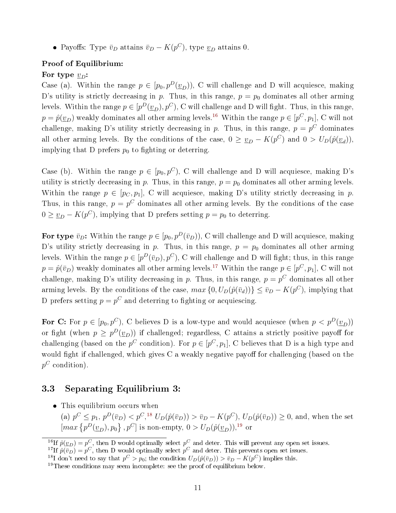• Payoffs: Type  $\bar{v}_D$  attains  $\bar{v}_D - K(p^C)$ , type  $\underline{v}_D$  attains 0.

#### Proof of Equilibrium:

#### For type  $v_D$ :

Case (a). Within the range  $p \in [p_0, p^D(\underline{v}_D))$ , C will challenge and D will acquiesce, making D's utility is strictly decreasing in p. Thus, in this range,  $p = p_0$  dominates all other arming levels. Within the range  $p \in [p^D(\underline{v}_D), p^C),$  C will challenge and D will fight. Thus, in this range,  $p = \hat{p}(\underline{v}_D)$  weakly dominates all other arming levels.<sup>[16](#page-10-1)</sup> Within the range  $p \in [p^C, p_1]$ , C will not challenge, making D's utility strictly decreasing in p. Thus, in this range,  $p = p^C$  dominates all other arming levels. By the conditions of the case,  $0 \geq v_D - K(p^C)$  and  $0 > U_D(\hat{p}(v_d)),$ implying that D prefers  $p_0$  to fighting or deterring.

Case (b). Within the range  $p \in [p_0, p^C)$ , C will challenge and D will acquiesce, making D's utility is strictly decreasing in p. Thus, in this range,  $p = p_0$  dominates all other arming levels. Within the range  $p \in [p_C, p_1]$ , C will acquiesce, making D's utility strictly decreasing in p. Thus, in this range,  $p = p^C$  dominates all other arming levels. By the conditions of the case  $0 \geq \underline{v}_D - K(p^C)$ , implying that D prefers setting  $p = p_0$  to deterring.

For type  $\bar{v}_D$ : Within the range  $p \in [p_0, p^D(\bar{v}_D))$ , C will challenge and D will acquiesce, making D's utility strictly decreasing in p. Thus, in this range,  $p = p_0$  dominates all other arming levels. Within the range  $p \in [p^D(\bar v_D), p^C)$ , C will challenge and D will fight; thus, in this range  $p = \hat{p}(\bar{v}_D)$  weakly dominates all other arming levels.<sup>[17](#page-10-2)</sup> Within the range  $p \in [p^C, p_1]$ , C will not challenge, making D's utility decreasing in p. Thus, in this range,  $p = p^C$  dominates all other arming levels. By the conditions of the case,  $max\{0, U_D(\hat{p}(\bar{v}_d))\} \le \bar{v}_D - K(p^C)$ , implying that D prefers setting  $p = p^C$  and deterring to fighting or acquiescing.

For C: For  $p \in [p_0, p^C)$ , C believes D is a low-type and would acquiesce (when  $p < p^D(\underline{v}_D)$ ) or fight (when  $p \ge p^D(\underline{v}_D)$ ) if challenged; regardless, C attains a strictly positive payoff for challenging (based on the  $p^C$  condition). For  $p \in [p^C, p_1]$ , C believes that D is a high type and would fight if challenged, which gives  $C$  a weakly negative payoff for challenging (based on the  $p^C$  condition).

# <span id="page-10-0"></span>3.3 Separating Equilibrium 3:

This equilibrium occurs when

(a)  $p^C \leq p_1, p^D(\bar{v}_D) < p^C,^{\{18\}} U_D(\hat{p}(\bar{v}_D)) > \bar{v}_D - K(p^C), U_D(\hat{p}(\bar{v}_D)) \geq 0$  $p^C \leq p_1, p^D(\bar{v}_D) < p^C,^{\{18\}} U_D(\hat{p}(\bar{v}_D)) > \bar{v}_D - K(p^C), U_D(\hat{p}(\bar{v}_D)) \geq 0$  $p^C \leq p_1, p^D(\bar{v}_D) < p^C,^{\{18\}} U_D(\hat{p}(\bar{v}_D)) > \bar{v}_D - K(p^C), U_D(\hat{p}(\bar{v}_D)) \geq 0$ , and, when the set  $\left[\max \left\{p^D(\underline{v}_D), p_0\right\}, p^C\right]$  is non-empty,  $0 > U_D(\hat{p}(\underline{v}_D))$ ,<sup>[19](#page-10-4)</sup> or

<span id="page-10-1"></span><sup>&</sup>lt;sup>16</sup>If  $\hat{p}(\underline{v}_D) = p^C$ , then D would optimally select  $p^C$  and deter. This will prevent any open set issues.

<span id="page-10-2"></span><sup>&</sup>lt;sup>17</sup>If  $p(\overline{v}_D) = p^C$ , then D would optimally select  $p^C$  and deter. This prevents open set issues.

<span id="page-10-3"></span><sup>&</sup>lt;sup>18</sup>I don't need to say that  $p^C > p_0$ ; the condition  $U_D(\hat{p}(\bar{v}_D)) > \bar{v}_D - K(p^C)$  implies this.

<span id="page-10-4"></span> $19$ These conditions may seem incomplete: see the proof of equilibrium below.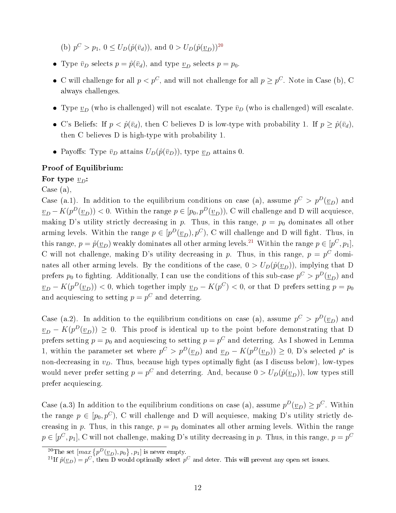(b)  $p^C > p_1$ ,  $0 \le U_D(\hat{p}(\bar{v}_d))$ , and  $0 > U_D(\hat{p}(\underline{v}_D))^{20}$  $0 > U_D(\hat{p}(\underline{v}_D))^{20}$  $0 > U_D(\hat{p}(\underline{v}_D))^{20}$ 

- Type  $\bar{v}_D$  selects  $p = \hat{p}(\bar{v}_d)$ , and type  $\underline{v}_D$  selects  $p = p_0$ .
- C will challenge for all  $p < p^C$ , and will not challenge for all  $p \ge p^C$ . Note in Case (b), C always challenges.
- Type  $\underline{v}_D$  (who is challenged) will not escalate. Type  $\overline{v}_D$  (who is challenged) will escalate.
- C's Beliefs: If  $p < \hat{p}(\bar{v}_d)$ , then C believes D is low-type with probability 1. If  $p \geq \hat{p}(\bar{v}_d)$ , then C believes D is high-type with probability 1.
- Payoffs: Type  $\bar{v}_D$  attains  $U_D(\hat{p}(\bar{v}_D))$ , type  $\underline{v}_D$  attains 0.

#### Proof of Equilibrium:

For type  $v_D$ :

Case (a),

Case (a.1). In addition to the equilibrium conditions on case (a), assume  $p^C > p^D(\underline{v}_D)$  and  $\underline{v}_D - K(p^D(\underline{v}_D)) < 0.$  Within the range  $p \in [p_0, p^D(\underline{v}_D))$ , C will challenge and D will acquiesce, making D's utility strictly decreasing in p. Thus, in this range,  $p = p_0$  dominates all other arming levels. Within the range  $p \in [p^D(\underline{v}_D), p^C)$ , C will challenge and D will fight. Thus, in this range,  $p = \hat{p}(\underline{v}_D)$  weakly dominates all other arming levels.<sup>[21](#page-11-1)</sup> Within the range  $p \in [p^C, p_1]$ , C will not challenge, making D's utility decreasing in p. Thus, in this range,  $p = p^C$  dominates all other arming levels. By the conditions of the case,  $0 > U_D(\hat{p}(\underline{v}_D))$ , implying that D prefers  $p_0$  to fighting. Additionally, I can use the conditions of this sub-case  $p^C > p^D(\underline{v}_D)$  and  $\nu_D - K(p^D(\underline{v}_D)) < 0$ , which together imply  $\nu_D - K(p^C) < 0$ , or that D prefers setting  $p = p_0$ and acquiescing to setting  $p = p^C$  and deterring.

Case (a.2). In addition to the equilibrium conditions on case (a), assume  $p^C > p^D(\underline{v}_D)$  and  $\nu_D - K(p^D(\underline{v}_D)) \geq 0$ . This proof is identical up to the point before demonstrating that D prefers setting  $p = p_0$  and acquiescing to setting  $p = p^C$  and deterring. As I showed in Lemma 1, within the parameter set where  $p^C > p^D(\underline{v}_D)$  and  $\underline{v}_D - K(p^D(\underline{v}_D)) \geq 0$ , D's selected  $p^*$  is non-decreasing in  $v_D$ . Thus, because high types optimally fight (as I discuss below), low-types would never prefer setting  $p = p^C$  and deterring. And, because  $0 > U_D(\hat{p}(\underline{v}_D))$ , low types still prefer acquiescing.

Case (a.3) In addition to the equilibrium conditions on case (a), assume  $p^D(\underline{v}_D) \geq p^C$ . Within the range  $p \in [p_0, p^C)$ , C will challenge and D will acquiesce, making D's utility strictly decreasing in p. Thus, in this range,  $p = p_0$  dominates all other arming levels. Within the range  $p\in[p^C,p_1]$ , C will not challenge, making D's utility decreasing in  $p$ . Thus, in this range,  $p=p^C$ 

<span id="page-11-0"></span><sup>&</sup>lt;sup>20</sup>The set  $\left[\max\left\{p^D(\underline{v}_D), p_0\right\}, p_1\right]$  is never empty.

<span id="page-11-1"></span><sup>&</sup>lt;sup>21</sup>If  $\hat{p}(\underline{v}_D) = p^C$ , then D would optimally select  $p^C$  and deter. This will prevent any open set issues.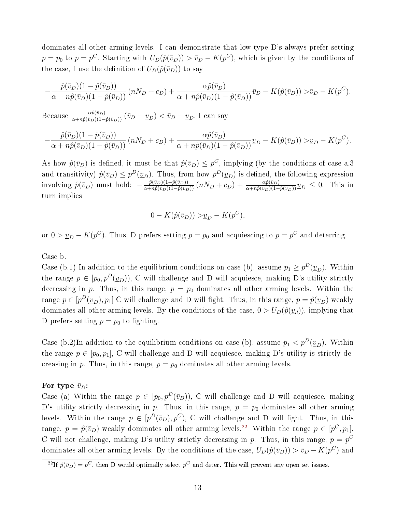dominates all other arming levels. I can demonstrate that low-type D's always prefer setting  $p = p_0$  to  $p = p^C$ . Starting with  $U_D(\hat{p}(\bar{v}_D)) > \bar{v}_D - K(p^C)$ , which is given by the conditions of the case, I use the definition of  $U_D(\hat{p}(\bar{v}_D))$  to say

$$
-\frac{\hat{p}(\bar{v}_D)(1-\hat{p}(\bar{v}_D))}{\alpha+n\hat{p}(\bar{v}_D)(1-\hat{p}(\bar{v}_D))} (nN_D+c_D) + \frac{\alpha \hat{p}(\bar{v}_D)}{\alpha+n\hat{p}(\bar{v}_D)(1-\hat{p}(\bar{v}_D))} \bar{v}_D - K(\hat{p}(\bar{v}_D)) > \bar{v}_D - K(p^C).
$$

Because  $\frac{\alpha \hat{p}(\bar{v}_D)}{\alpha + n \hat{p}(\bar{v}_D)(1-\hat{p}(\bar{v}_D))} (\bar{v}_D - \underline{v}_D) < \bar{v}_D - \underline{v}_D$ , I can say

$$
-\frac{\hat{p}(\bar{v}_D)(1-\hat{p}(\bar{v}_D))}{\alpha+n\hat{p}(\bar{v}_D)(1-\hat{p}(\bar{v}_D))} (nN_D+c_D) + \frac{\alpha \hat{p}(\bar{v}_D)}{\alpha+n\hat{p}(\bar{v}_D)(1-\hat{p}(\bar{v}_D))} \underline{v}_D - K(\hat{p}(\bar{v}_D)) > \underline{v}_D - K(p^C).
$$

As how  $\hat{p}(\bar{v}_D)$  is defined, it must be that  $\hat{p}(\bar{v}_D) \leq p^C$ , implying (by the conditions of case a.3 and transitivity)  $\hat{p}(\bar{v}_D) \leq p^D(\underline{v}_D)$ . Thus, from how  $p^D(\underline{v}_D)$  is defined, the following expression involving  $\hat{p}(\bar{v}_D)$  must hold:  $-\frac{\hat{p}(\bar{v}_D)(1-\hat{p}(\bar{v}_D))}{\alpha + n\hat{p}(\bar{v}_D)(1-\hat{p}(\bar{v}_D))}$   $(nN_D + c_D) + \frac{\alpha \hat{p}(\bar{v}_D)}{\alpha + n\hat{p}(\bar{v}_D)(1-\hat{p}(\bar{v}_D))}$   $v_D \le 0$ . This in turn implies

$$
0 - K(\hat{p}(\bar{v}_D)) > \underline{v}_D - K(p^C),
$$

or  $0 > v_D - K(p^C)$ . Thus, D prefers setting  $p = p_0$  and acquiescing to  $p = p^C$  and deterring.

#### Case b.

−

Case (b.1) In addition to the equilibrium conditions on case (b), assume  $p_1 \geq p^D(\underline{v}_D)$ . Within the range  $p \in [p_0, p^D(\underline{v}_D))$ , C will challenge and D will acquiesce, making D's utility strictly decreasing in p. Thus, in this range,  $p = p_0$  dominates all other arming levels. Within the range  $p \in [p^D(\underline{v}_D), p_1]$  C will challenge and D will fight. Thus, in this range,  $p = \hat{p}(\underline{v}_D)$  weakly dominates all other arming levels. By the conditions of the case,  $0 > U_D(\hat{p}(\underline{v}_d))$ , implying that D prefers setting  $p = p_0$  to fighting.

Case (b.2)In addition to the equilibrium conditions on case (b), assume  $p_1 < p^D(\underline{v}_D)$ . Within the range  $p \in [p_0, p_1]$ , C will challenge and D will acquiesce, making D's utility is strictly decreasing in p. Thus, in this range,  $p = p_0$  dominates all other arming levels.

#### For type  $\bar{v}_D$ :

Case (a) Within the range  $p \in [p_0, p^D(\bar{v}_D))$ , C will challenge and D will acquiesce, making D's utility strictly decreasing in p. Thus, in this range,  $p = p_0$  dominates all other arming levels. Within the range  $p \in [p^D(\bar v_D), p^C)$ , C will challenge and D will fight. Thus, in this range,  $p = \hat{p}(\bar{v}_D)$  weakly dominates all other arming levels.<sup>[22](#page-12-0)</sup> Within the range  $p \in [p^C, p_1]$ , C will not challenge, making D's utility strictly decreasing in p. Thus, in this range,  $p = p^C$ dominates all other arming levels. By the conditions of the case,  $U_D(\hat{p}(\bar{v}_D)) > \bar{v}_D - K(p^C)$  and

<span id="page-12-0"></span><sup>&</sup>lt;sup>22</sup>If  $\hat{p}(\bar{v}_D) = p^C$ , then D would optimally select  $p^C$  and deter. This will prevent any open set issues.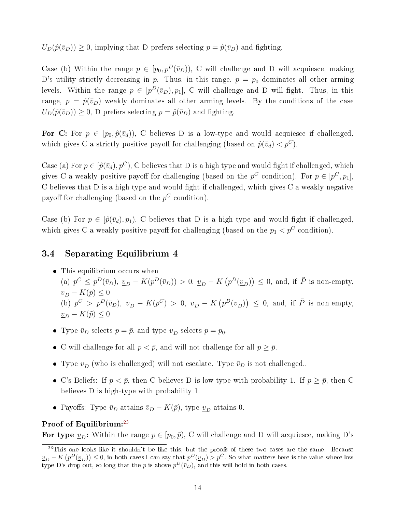$U_D(\hat{p}(\bar{v}_D)) \geq 0$ , implying that D prefers selecting  $p = \hat{p}(\bar{v}_D)$  and fighting.

Case (b) Within the range  $p \in [p_0, p^D(\bar{v}_D))$ , C will challenge and D will acquiesce, making D's utility strictly decreasing in p. Thus, in this range,  $p = p_0$  dominates all other arming levels. Within the range  $p \in [p^D(\bar{v}_D), p_1]$ , C will challenge and D will fight. Thus, in this range,  $p = \hat{p}(\bar{v}_D)$  weakly dominates all other arming levels. By the conditions of the case  $U_D(\hat{p}(\bar{v}_D)) \geq 0$ , D prefers selecting  $p = \hat{p}(\bar{v}_D)$  and fighting.

For C: For  $p \in [p_0, \hat{p}(\bar{v}_d))$ , C believes D is a low-type and would acquiesce if challenged, which gives C a strictly positive payoff for challenging (based on  $\hat{p}(\bar{v}_d) < p^C$ ).

Case (a) For  $p \in [\hat{p}(\bar{v}_d), p^C)$ , C believes that D is a high type and would fight if challenged, which gives C a weakly positive payoff for challenging (based on the  $p^C$  condition). For  $p \in [p^C, p_1]$ , C believes that  $D$  is a high type and would fight if challenged, which gives  $C$  a weakly negative payoff for challenging (based on the  $p^C$  condition).

Case (b) For  $p \in [\hat{p}(\bar{v}_d), p_1)$ , C believes that D is a high type and would fight if challenged. which gives C a weakly positive payoff for challenging (based on the  $p_1 < p^C$  condition).

## <span id="page-13-0"></span>3.4 Separating Equilibrium 4

- This equilibrium occurs when (a)  $p^C \n\t\leq p^D(\bar{v}_D), \underline{v}_D - K(p^D(\bar{v}_D)) > 0, \underline{v}_D - K(p^D(\underline{v}_D)) \leq 0$ , and, if  $\tilde{P}$  is non-empty,  $\underline{v}_D - K(\tilde{p}) \leq 0$ (b)  $p^C > p^D(\bar{v}_D)$ ,  $\underline{v}_D - K(p^C) > 0$ ,  $\underline{v}_D - K(p^D(\underline{v}_D)) \leq 0$ , and, if  $\tilde{P}$  is non-empty,  $v_D - K(\tilde{p}) \leq 0$
- Type  $\bar{v}_D$  selects  $p = \bar{p}$ , and type  $\underline{v}_D$  selects  $p = p_0$ .
- C will challenge for all  $p < \bar{p}$ , and will not challenge for all  $p ≥ \bar{p}$ .
- Type  $\underline{v}_D$  (who is challenged) will not escalate. Type  $\overline{v}_D$  is not challenged..
- C's Beliefs: If  $p < \bar{p}$ , then C believes D is low-type with probability 1. If  $p ≥ \bar{p}$ , then C believes D is high-type with probability 1.
- Payoffs: Type  $\bar{v}_D$  attains  $\bar{v}_D K(\bar{p})$ , type  $\underline{v}_D$  attains 0.

### Proof of Equilibrium:<sup>[23](#page-13-1)</sup>

For type  $v_D$ : Within the range  $p \in [p_0, \bar{p})$ , C will challenge and D will acquiesce, making D's

<span id="page-13-1"></span> $^{23}$ This one looks like it shouldn't be like this, but the proofs of these two cases are the same. Because  $\nu_D - K\left(p^D(\underline{v}_D)\right) \leq 0$ , in both cases I can say that  $p^D(\underline{v}_D) > p^C$ . So what matters here is the value where low type D's drop out, so long that the p is above  $p^D(\bar v_D)$ , and this will hold in both cases.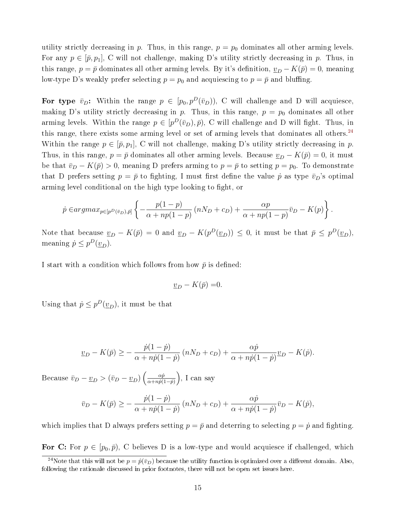utility strictly decreasing in p. Thus, in this range,  $p = p_0$  dominates all other arming levels. For any  $p \in [\bar{p}, p_1]$ , C will not challenge, making D's utility strictly decreasing in p. Thus, in this range,  $p = \bar{p}$  dominates all other arming levels. By it's definition,  $v_D - K(\bar{p}) = 0$ , meaning low-type D's weakly prefer selecting  $p = p_0$  and acquiescing to  $p = \bar{p}$  and bluffing.

For type  $\bar{v}_D$ : Within the range  $p \in [p_0, p^D(\bar{v}_D))$ , C will challenge and D will acquiesce, making D's utility strictly decreasing in p. Thus, in this range,  $p = p_0$  dominates all other arming levels. Within the range  $p \in [p^D(\bar{v}_D), \bar{p})$ , C will challenge and D will fight. Thus, in this range, there exists some arming level or set of arming levels that dominates all others.<sup>[24](#page-14-0)</sup> Within the range  $p \in [\bar{p}, p_1], C$  will not challenge, making D's utility strictly decreasing in p. Thus, in this range,  $p = \bar{p}$  dominates all other arming levels. Because  $\underline{v}_D - K(\bar{p}) = 0$ , it must be that  $\bar{v}_D - K(\bar{p}) > 0$ , meaning D prefers arming to  $p = \bar{p}$  to setting  $p = p_0$ . To demonstrate that D prefers setting  $p = \bar{p}$  to fighting, I must first define the value  $\dot{p}$  as type  $\bar{v}_D$ 's optimal arming level conditional on the high type looking to fight, or

$$
\dot{p} \in argmax_{p \in [p^D(\bar{v}_D), \bar{p}]} \left\{ -\frac{p(1-p)}{\alpha + np(1-p)} \left( nN_D + c_D \right) + \frac{\alpha p}{\alpha + np(1-p)} \bar{v}_D - K(p) \right\}.
$$

Note that because  $\underline{v}_D - K(\overline{p}) = 0$  and  $\underline{v}_D - K(p^D(\underline{v}_D)) \leq 0$ , it must be that  $\overline{p} \leq p^D(\underline{v}_D)$ , meaning  $\dot{p} \leq p^D(\underline{v}_D)$ .

I start with a condition which follows from how  $\bar{p}$  is defined:

$$
\underline{v}_D - K(\bar{p}) = 0.
$$

Using that  $\dot{p} \leq p^D(\underline{v}_D)$ , it must be that

$$
\underline{v}_D - K(\bar{p}) \ge -\frac{\dot{p}(1-\dot{p})}{\alpha + n\dot{p}(1-\dot{p})} \left( nN_D + c_D \right) + \frac{\alpha \dot{p}}{\alpha + n\dot{p}(1-\dot{p})} \underline{v}_D - K(\dot{p}).
$$

Because  $\bar{v}_D - \underline{v}_D > (\bar{v}_D - \underline{v}_D) \left( \frac{\alpha \dot{p}}{\alpha + n \dot{p}(\alpha)} \right)$  $\frac{\alpha \dot{p}}{\alpha + n \dot{p}(1-\dot{p})}$ ), I can say

$$
\bar{v}_D - K(\bar{p}) \ge -\frac{\dot{p}(1-\dot{p})}{\alpha + n\dot{p}(1-\dot{p})} \left( nN_D + c_D \right) + \frac{\alpha \dot{p}}{\alpha + n\dot{p}(1-\dot{p})} \bar{v}_D - K(\dot{p}),
$$

which implies that D always prefers setting  $p = \bar{p}$  and deterring to selecting  $p = \dot{p}$  and fighting.

For C: For  $p \in [p_0, \bar{p})$ , C believes D is a low-type and would acquiesce if challenged, which

<span id="page-14-0"></span><sup>&</sup>lt;sup>24</sup>Note that this will not be  $p = \hat{p}(\bar{v}_D)$  because the utility function is optimized over a different domain. Also, following the rationale discussed in prior footnotes, there will not be open set issues here.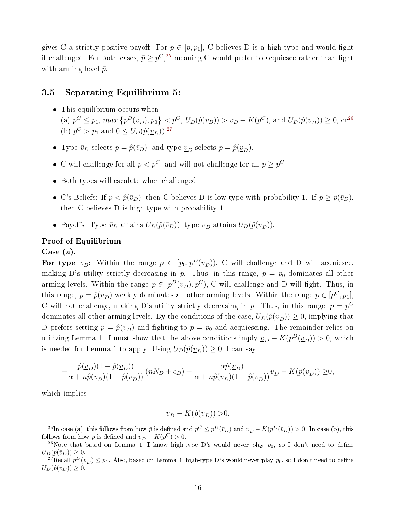gives C a strictly positive payoff. For  $p \in [\bar{p}, p_1]$ , C believes D is a high-type and would fight if challenged. For both cases,  $\bar{p} \ge p^C, ^{25}$  $\bar{p} \ge p^C, ^{25}$  $\bar{p} \ge p^C, ^{25}$  meaning C would prefer to acquiesce rather than fight with arming level  $\bar{p}$ .

## <span id="page-15-0"></span>3.5 Separating Equilibrium 5:

- This equilibrium occurs when (a)  $p^C \leq p_1$ ,  $max\{p^D(\underline{v}_D), p_0\} < p^C$ ,  $U_D(\hat{p}(\bar{v}_D)) > \bar{v}_D - K(p^C)$ , and  $U_D(\hat{p}(\underline{v}_D)) \geq 0$ , or<sup>[26](#page-15-2)</sup> (b)  $p^C > p_1$  and  $0 \le U_D(\hat{p}(\underline{v}_D))$ .<sup>[27](#page-15-3)</sup>
- Type  $\bar{v}_D$  selects  $p = \hat{p}(\bar{v}_D)$ , and type  $\underline{v}_D$  selects  $p = \hat{p}(\underline{v}_D)$ .
- C will challenge for all  $p < p^C$ , and will not challenge for all  $p \geq p^C$ .
- Both types will escalate when challenged.
- C's Beliefs: If  $p < \hat{p}(\bar{v}_D)$ , then C believes D is low-type with probability 1. If  $p ≥ \hat{p}(\bar{v}_D)$ , then C believes D is high-type with probability 1.
- Payoffs: Type  $\bar{v}_D$  attains  $U_D(\hat{p}(\bar{v}_D))$ , type  $\underline{v}_D$  attains  $U_D(\hat{p}(\underline{v}_D))$ .

#### Proof of Equilibrium

Case (a).

For type  $\underline{v}_D$ : Within the range  $p \in [p_0, p^D(\underline{v}_D))$ , C will challenge and D will acquiesce, making D's utility strictly decreasing in p. Thus, in this range,  $p = p_0$  dominates all other arming levels. Within the range  $p \in [p^D(\underline{v}_D), p^C)$ , C will challenge and D will fight. Thus, in this range,  $p = \hat{p}(\underline{v}_D)$  weakly dominates all other arming levels. Within the range  $p \in [p^C, p_1]$ , C will not challenge, making D's utility strictly decreasing in p. Thus, in this range,  $p = p^C$ dominates all other arming levels. By the conditions of the case,  $U_D(\hat{p}(\underline{v}_D)) \geq 0$ , implying that D prefers setting  $p = \hat{p}(\underline{v}_D)$  and fighting to  $p = p_0$  and acquiescing. The remainder relies on utilizing Lemma 1. I must show that the above conditions imply  $\underline{v}_D - K(p^D(\underline{v}_D)) > 0$ , which is needed for Lemma 1 to apply. Using  $U_D(\hat{p}(\underline{v}_D)) \geq 0$ , I can say

$$
-\frac{\hat{p}(\underline{v}_D)(1-\hat{p}(\underline{v}_D))}{\alpha+n\hat{p}(\underline{v}_D)(1-\hat{p}(\underline{v}_D))} (nN_D+c_D) + \frac{\alpha \hat{p}(\underline{v}_D)}{\alpha+n\hat{p}(\underline{v}_D)(1-\hat{p}(\underline{v}_D))} \underline{v}_D - K(\hat{p}(\underline{v}_D)) \ge 0,
$$

which implies

$$
\underline{v}_D - K(\hat{p}(\underline{v}_D)) > 0.
$$

<span id="page-15-1"></span><sup>&</sup>lt;sup>25</sup>In case (a), this follows from how  $\bar{p}$  is defined and  $p^C \leq p^D(\bar{v}_D)$  and  $\underline{v}_D - K(p^D(\bar{v}_D)) > 0$ . In case (b), this follows from how  $\bar{p}$  is defined and  $\underline{v}_D - K(p^C) > 0$ .

<span id="page-15-2"></span><sup>&</sup>lt;sup>26</sup>Note that based on Lemma 1, I know high-type D's would never play  $p_0$ , so I don't need to define  $U_D(\hat{p}(\bar{v}_D)) \geq 0.$ 

<span id="page-15-3"></span> $^{27}$ Recall  $p^D(\underline{v}_D) \leq p_1$ . Also, based on Lemma 1, high-type D's would never play  $p_0$ , so I don't need to define  $U_D(\hat{p}(\bar{v}_D)) \geq 0.$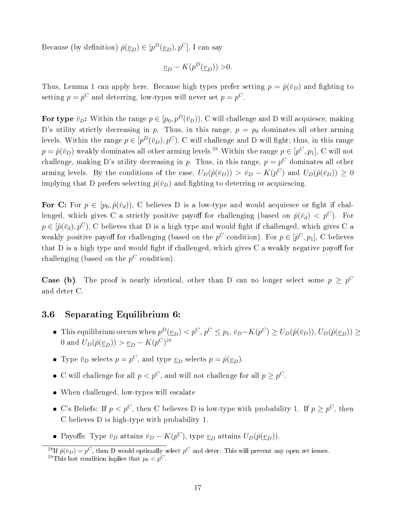Because (by definition)  $\hat{p}(\underline{v}_D) \in [p^D(\underline{v}_D), p^C]$ , I can say

$$
\underline{v}_D - K(p^D(\underline{v}_D)) > 0.
$$

Thus, Lemma 1 can apply here. Because high types prefer setting  $p = \hat{p}(\bar{v}_D)$  and fighting to setting  $p = p^C$  and deterring, low-types will never set  $p = p^C$ .

For type  $\bar{v}_D$ : Within the range  $p \in [p_0, p^D(\bar{v}_D))$ , C will challenge and D will acquiesce, making D's utility strictly decreasing in p. Thus, in this range,  $p = p_0$  dominates all other arming levels. Within the range  $p \in [p^D(\bar{v}_D), p^C)$ , C will challenge and D will fight; thus, in this range  $p = \hat{p}(\bar{v}_D)$  weakly dominates all other arming levels.<sup>[28](#page-16-1)</sup> Within the range  $p \in [p^C, p_1]$ , C will not challenge, making D's utility decreasing in p. Thus, in this range,  $p = p^C$  dominates all other arming levels. By the conditions of the case,  $U_D(\hat{p}(\bar{v}_D)) > \bar{v}_D - K(p^C)$  and  $U_D(\hat{p}(\bar{v}_D)) \geq 0$ implying that D prefers selecting  $\hat{p}(\bar{v}_D)$  and fighting to deterring or acquiescing.

For C: For  $p \in [p_0, \hat{p}(\bar{v}_d))$ , C believes D is a low-type and would acquiesce or fight if challenged, which gives C a strictly positive payoff for challenging (based on  $\hat{p}(\bar{v}_d) < p^C$ ). For  $p \in [\hat{p}(\bar{v}_d), p^C)$ , C believes that D is a high type and would fight if challenged, which gives C a weakly positive payoff for challenging (based on the  $p^C$  condition). For  $p \in [p^C, p_1]$ , C believes that D is a high type and would fight if challenged, which gives  $C$  a weakly negative payoff for challenging (based on the  $p^C$  condition).

**Case (b)**. The proof is nearly identical, other than D can no longer select some  $p \geq p^C$ and deter C.

# <span id="page-16-0"></span>3.6 Separating Equilibrium 6:

- This equilibrium occurs when  $p^D(\underline{v}_D) < p^C$ ,  $p^C \leq p_1$ ,  $\overline{v}_D K(p^C) \geq U_D(\hat{p}(\overline{v}_D))$ ,  $U_D(\hat{p}(\underline{v}_D)) \geq$ 0 and  $U_D(\hat{p}(\underline{v}_D)) > \underline{v}_D - K(p^C)^{29}$  $U_D(\hat{p}(\underline{v}_D)) > \underline{v}_D - K(p^C)^{29}$  $U_D(\hat{p}(\underline{v}_D)) > \underline{v}_D - K(p^C)^{29}$
- Type  $\bar{v}_D$  selects  $p = p^C$ , and type  $\underline{v}_D$  selects  $p = \hat{p}(\underline{v}_D)$ .
- C will challenge for all  $p < p^C$ , and will not challenge for all  $p \ge p^C$ .
- When challenged, low-types will escalate
- C's Beliefs: If  $p < p^C$ , then C believes D is low-type with probability 1. If  $p \geq p^C$ , then C believes D is high-type with probability 1.
- Payoffs: Type  $\bar{v}_D$  attains  $\bar{v}_D K(p^C)$ , type  $\underline{v}_D$  attains  $U_D(\hat{p}(\underline{v}_D))$ .

<span id="page-16-2"></span><span id="page-16-1"></span><sup>&</sup>lt;sup>28</sup>If  $\hat{p}(\bar{v}_D) = p^C$ , then D would optimally select  $p^C$  and deter. This will prevent any open set issues. <sup>29</sup>This last condition inplies that  $p_0 < p^C$ .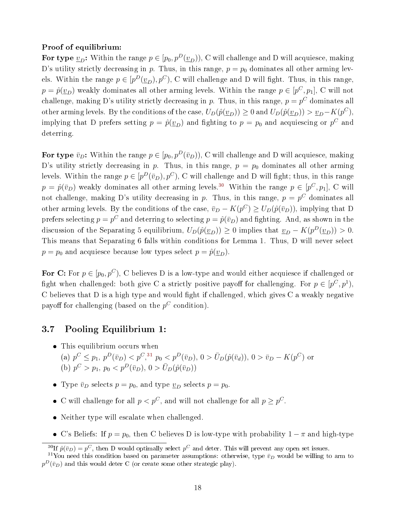#### Proof of equilibrium:

For type  $\underline{v}_D$ : Within the range  $p \in [p_0, p^D(\underline{v}_D))$ , C will challenge and D will acquiesce, making D's utility strictly decreasing in p. Thus, in this range,  $p = p_0$  dominates all other arming levels. Within the range  $p \in [p^D(\underline{v}_D), p^C)$ , C will challenge and D will fight. Thus, in this range,  $p = \hat{p}(\underline{v}_D)$  weakly dominates all other arming levels. Within the range  $p \in [p^C, p_1]$ , C will not challenge, making D's utility strictly decreasing in p. Thus, in this range,  $p = p^C$  dominates all other arming levels. By the conditions of the case,  $U_D(\hat{p}(\underline{v}_D)) \ge 0$  and  $U_D(\hat{p}(\underline{v}_D)) > \underline{v}_D - K(p^C)$ , implying that D prefers setting  $p = \hat{p}(\underline{v}_D)$  and fighting to  $p = p_0$  and acquiescing or  $p^C$  and deterring.

For type  $\bar{v}_D$ : Within the range  $p \in [p_0, p^D(\bar{v}_D))$ , C will challenge and D will acquiesce, making D's utility strictly decreasing in p. Thus, in this range,  $p = p_0$  dominates all other arming levels. Within the range  $p \in [p^D(\bar v_D), p^C)$ , C will challenge and D will fight; thus, in this range  $p = \hat{p}(\bar{v}_D)$  weakly dominates all other arming levels.<sup>[30](#page-17-1)</sup> Within the range  $p \in [p^C, p_1]$ , C will not challenge, making D's utility decreasing in p. Thus, in this range,  $p = p^C$  dominates all other arming levels. By the conditions of the case,  $\bar{v}_D - K(p^C) \ge U_D(\hat{p}(\bar{v}_D))$ , implying that D prefers selecting  $p = p^C$  and deterring to selecting  $p = \hat{p}(\bar{v}_D)$  and fighting. And, as shown in the discussion of the Separating 5 equilibrium,  $U_D(\hat{p}(\underline{v}_D)) \ge 0$  implies that  $\underline{v}_D - K(p^D(\underline{v}_D)) > 0$ . This means that Separating 6 falls within conditions for Lemma 1. Thus, D will never select  $p = p_0$  and acquiesce because low types select  $p = \hat{p}(\underline{v}_D)$ .

For C: For  $p \in [p_0, p^C)$ , C believes D is a low-type and would either acquiesce if challenged or fight when challenged: both give C a strictly positive payoff for challenging. For  $p \in [p^C, p^1)$ ,  $C$  believes that  $D$  is a high type and would fight if challenged, which gives  $C$  a weakly negative payoff for challenging (based on the  $p^C$  condition).

## <span id="page-17-0"></span>3.7 Pooling Equilibrium 1:

- This equilibrium occurs when (a)  $p^C \leq p_1, p^D(\bar{v}_D) < p^C,$ <sup>[31](#page-17-2)</sup>,  $p_0 < p^D(\bar{v}_D), 0 > \bar{U}_D(\hat{p}(\bar{v}_d)), 0 > \bar{v}_D - K(p^C)$  or (b)  $p^C > p_1, p_0 < p^D(\bar{v}_D), 0 > \bar{U}_D(\hat{p}(\bar{v}_D))$
- Type  $\bar{v}_D$  selects  $p = p_0$ , and type  $\underline{v}_D$  selects  $p = p_0$ .
- C will challenge for all  $p < p^C$ , and will not challenge for all  $p \geq p^C$ .
- Neither type will escalate when challenged.
- C's Beliefs: If  $p = p_0$ , then C believes D is low-type with probability  $1 π$  and high-type

<span id="page-17-2"></span><span id="page-17-1"></span><sup>&</sup>lt;sup>30</sup>If  $\hat{p}(\bar{v}_D) = p^C$ , then D would optimally select  $p^C$  and deter. This will prevent any open set issues.

<sup>&</sup>lt;sup>31</sup>You need this condition based on parameter assumptions: otherwise, type  $\bar{v}_D$  would be willing to arm to  $p^D(\bar{v}_D)$  and this would deter C (or create some other strategic play).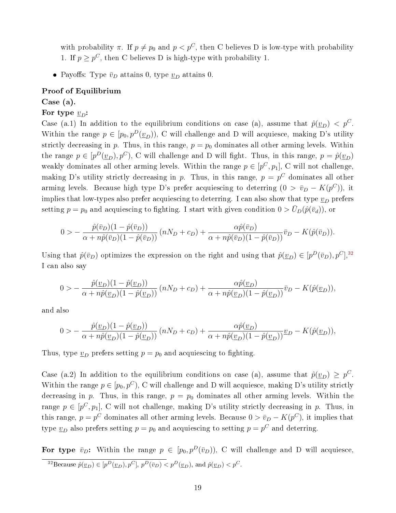with probability  $\pi$ . If  $p \neq p_0$  and  $p < p^C$ , then C believes D is low-type with probability 1. If  $p \geq p^C$ , then C believes D is high-type with probability 1.

• Payoffs: Type  $\bar{v}_D$  attains 0, type  $\underline{v}_D$  attains 0.

#### Proof of Equilibrium

Case (a).

#### For type  $v_D$ :

Case (a.1) In addition to the equilibrium conditions on case (a), assume that  $\hat{p}(\underline{v}_D) < p^C$ . Within the range  $p \in [p_0, p^D(\underline{v}_D))$ , C will challenge and D will acquiesce, making D's utility strictly decreasing in p. Thus, in this range,  $p = p_0$  dominates all other arming levels. Within the range  $p \in [p^D(\underline{v}_D), p^C)$ , C will challenge and D will fight. Thus, in this range,  $p = \hat{p}(\underline{v}_D)$ weakly dominates all other arming levels. Within the range  $p \in [p^C, p_1]$ , C will not challenge, making D's utility strictly decreasing in p. Thus, in this range,  $p = p^C$  dominates all other arming levels. Because high type D's prefer acquiescing to deterring  $(0 > \bar{v}_D - K(p^C))$ , it implies that low-types also prefer acquiescing to deterring. I can also show that type  $\underline{v}_D$  prefers setting  $p = p_0$  and acquiescing to fighting. I start with given condition  $0 > \bar{U}_D(\hat{p}(\bar{v}_d))$ , or

$$
0 > -\frac{\hat{p}(\bar{v}_D)(1-\hat{p}(\bar{v}_D))}{\alpha + n\hat{p}(\bar{v}_D)(1-\hat{p}(\bar{v}_D))} (nN_D + c_D) + \frac{\alpha \hat{p}(\bar{v}_D)}{\alpha + n\hat{p}(\bar{v}_D)(1-\hat{p}(\bar{v}_D))} \bar{v}_D - K(\hat{p}(\bar{v}_D)).
$$

Using that  $\hat{p}(\bar{v}_D)$  optimizes the expression on the right and using that  $\hat{p}(\underline{v}_D) \in [p^D(\bar{v}_D), p^C],$ <sup>[32](#page-18-0)</sup> I can also say

$$
0 > -\frac{\hat{p}(\underline{v}_D)(1-\hat{p}(\underline{v}_D))}{\alpha + n\hat{p}(\underline{v}_D)(1-\hat{p}(\underline{v}_D))} (nN_D + c_D) + \frac{\alpha \hat{p}(\underline{v}_D)}{\alpha + n\hat{p}(\underline{v}_D)(1-\hat{p}(\underline{v}_D))} \overline{v}_D - K(\hat{p}(\underline{v}_D)),
$$

and also

$$
0 \gt -\frac{\hat{p}(\underline{v}_D)(1-\hat{p}(\underline{v}_D))}{\alpha + n\hat{p}(\underline{v}_D)(1-\hat{p}(\underline{v}_D))} \left(nN_D + c_D\right) + \frac{\alpha \hat{p}(\underline{v}_D)}{\alpha + n\hat{p}(\underline{v}_D)(1-\hat{p}(\underline{v}_D))} \underline{v}_D - K(\hat{p}(\underline{v}_D)),
$$

Thus, type  $\underline{v}_D$  prefers setting  $p = p_0$  and acquiescing to fighting.

Case (a.2) In addition to the equilibrium conditions on case (a), assume that  $\hat{p}(\underline{v}_D) \geq p^C$ . Within the range  $p \in [p_0, p^C)$ , C will challenge and D will acquiesce, making D's utility strictly decreasing in p. Thus, in this range,  $p = p_0$  dominates all other arming levels. Within the range  $p \in [p^C, p_1]$ , C will not challenge, making D's utility strictly decreasing in p. Thus, in this range,  $p = p^C$  dominates all other arming levels. Because  $0 > \bar{v}_D - K(p^C)$ , it implies that type  $\underline{v}_D$  also prefers setting  $p = p_0$  and acquiescing to setting  $p = p^C$  and deterring.

<span id="page-18-0"></span>For type  $\bar{v}_D$ : Within the range  $p \in [p_0, p^D(\bar{v}_D))$ , C will challenge and D will acquiesce, <sup>32</sup>Because  $\hat{p}(\underline{v}_D) \in [p^D(\underline{v}_D), p^C], p^D(\overline{v}_D) < p^D(\underline{v}_D)$ , and  $\hat{p}(\underline{v}_D) < p^C$ .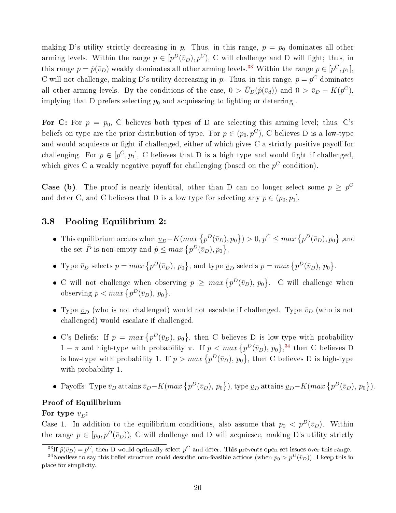making D's utility strictly decreasing in p. Thus, in this range,  $p = p_0$  dominates all other arming levels. Within the range  $p \in [p^D(\bar{v}_D), p^C)$ , C will challenge and D will fight; thus, in this range  $p = \hat{p}(\bar{v}_D)$  weakly dominates all other arming levels.<sup>[33](#page-19-1)</sup> Within the range  $p \in [p^C, p_1]$ , C will not challenge, making D's utility decreasing in p. Thus, in this range,  $p = p^C$  dominates all other arming levels. By the conditions of the case,  $0 > \bar{U}_D(\hat{p}(\bar{v}_d))$  and  $0 > \bar{v}_D - K(p^C)$ , implying that D prefers selecting  $p_0$  and acquiescing to fighting or deterring.

For C: For  $p = p_0$ , C believes both types of D are selecting this arming level; thus, C's beliefs on type are the prior distribution of type. For  $p \in (p_0, p^C)$ , C believes D is a low-type and would acquiesce or fight if challenged, either of which gives  $C$  a strictly positive payoff for challenging. For  $p \in [p^C, p_1]$ , C believes that D is a high type and would fight if challenged, which gives C a weakly negative payoff for challenging (based on the  $p^C$  condition).

**Case (b)**. The proof is nearly identical, other than D can no longer select some  $p \geq p^C$ and deter C, and C believes that D is a low type for selecting any  $p \in (p_0, p_1]$ .

# <span id="page-19-0"></span>3.8 Pooling Equilibrium 2:

- This equilibrium occurs when  $\underline{v}_D K(max\{p^D(\bar{v}_D), p_0\}) > 0, p^C \leq max\{p^D(\bar{v}_D), p_0\}$ ,and the set  $\tilde{P}$  is non-empty and  $\tilde{p} \leq max \{ p^D(\bar{v}_D), p_0 \},$
- Type  $\bar{v}_D$  selects  $p = max \{p^D(\bar{v}_D), p_0\}$ , and type  $\underline{v}_D$  selects  $p = max \{p^D(\bar{v}_D), p_0\}$ .
- C will not challenge when observing  $p \geq max \{p^D(\bar{v}_D), p_0\}$ . C will challenge when observing  $p < max \{p^D(\bar{v}_D), p_0\}.$
- Type  $\underline{v}_D$  (who is not challenged) would not escalate if challenged. Type  $\bar{v}_D$  (who is not challenged) would escalate if challenged.
- C's Beliefs: If  $p = max \{p^D(\bar{v}_D), p_0\}$ , then C believes D is low-type with probability  $1 - \pi$  and high-type with probability  $\pi$ . If  $p < max \{p^D(\bar{v}_D), p_0\}$ ,<sup>[34](#page-19-2)</sup> then C believes D is low-type with probability 1. If  $p > max\{p^D(\bar{v}_D), p_0\}$ , then C believes D is high-type with probability 1.
- Payoffs: Type  $\bar{v}_D$  attains  $\bar{v}_D K(max\{p^D(\bar{v}_D), p_0\})$ , type  $\underline{v}_D$  attains  $\underline{v}_D K(max\{p^D(\bar{v}_D), p_0\})$ .

### Proof of Equilibrium

#### For type  $v_D$ :

Case 1. In addition to the equilibrium conditions, also assume that  $p_0 < p^D(\bar{v}_D)$ . Within the range  $p \in [p_0, p^D(\bar{v}_D))$ , C will challenge and D will acquiesce, making D's utility strictly

<span id="page-19-2"></span><span id="page-19-1"></span><sup>&</sup>lt;sup>33</sup>If  $\hat{p}(\bar{v}_D) = p^C$ , then D would optimally select  $p^C$  and deter. This prevents open set issues over this range.

<sup>&</sup>lt;sup>34</sup>Needless to say this belief structure could describe non-feasible actions (when  $p_0 > p^D(\bar{v}_D)$ ). I keep this in place for simplicity.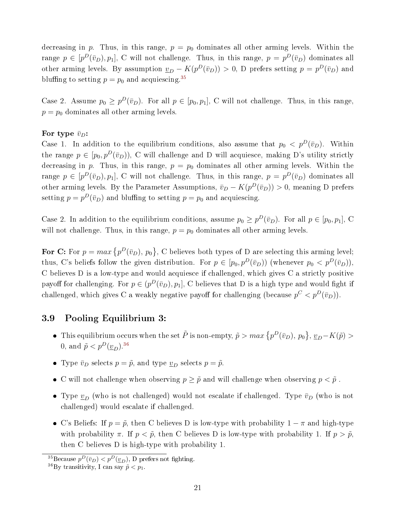decreasing in p. Thus, in this range,  $p = p_0$  dominates all other arming levels. Within the range  $p \in [p^D(\bar{v}_D), p_1]$ , C will not challenge. Thus, in this range,  $p = p^D(\bar{v}_D)$  dominates all other arming levels. By assumption  $\underline{v}_D - K(p^D(\bar{v}_D)) > 0$ , D prefers setting  $p = p^D(\bar{v}_D)$  and bluffing to setting  $p = p_0$  and acquiescing.<sup>[35](#page-20-1)</sup>

Case 2. Assume  $p_0 \geq p^D(\bar{v}_D)$ . For all  $p \in [p_0, p_1]$ , C will not challenge. Thus, in this range,  $p = p_0$  dominates all other arming levels.

#### For type  $\bar{v}_D$ :

Case 1. In addition to the equilibrium conditions, also assume that  $p_0 < p^D(\bar{v}_D)$ . Within the range  $p \in [p_0, p^D(\bar{v}_D))$ , C will challenge and D will acquiesce, making D's utility strictly decreasing in p. Thus, in this range,  $p = p_0$  dominates all other arming levels. Within the range  $p \in [p^D(\bar{v}_D), p_1]$ , C will not challenge. Thus, in this range,  $p = p^D(\bar{v}_D)$  dominates all other arming levels. By the Parameter Assumptions,  $\bar{v}_D - K(p^D(\bar{v}_D)) > 0$ , meaning D prefers setting  $p = p^D(\bar{v}_D)$  and bluffing to setting  $p = p_0$  and acquiescing.

Case 2. In addition to the equilibrium conditions, assume  $p_0 \geq p^D(\bar{v}_D)$ . For all  $p \in [p_0, p_1]$ , C will not challenge. Thus, in this range,  $p = p_0$  dominates all other arming levels.

For C: For  $p = max \{p^D(\bar{v}_D), p_0\}$ , C believes both types of D are selecting this arming level; thus, C's beliefs follow the given distribution. For  $p \in [p_0, p^D(\bar{v}_D))$  (whenever  $p_0 < p^D(\bar{v}_D)$ ), C believes D is a low-type and would acquiesce if challenged, which gives C a strictly positive payoff for challenging. For  $p \in (p^D(\bar{v}_D), p_1]$ , C believes that D is a high type and would fight if challenged, which gives C a weakly negative payoff for challenging (because  $p^C < p^D(\bar{v}_D)$ ).

## <span id="page-20-0"></span>3.9 Pooling Equilibrium 3:

- This equilibrium occurs when the set  $\tilde{P}$  is non-empty,  $\tilde{p} > max\left\{p^D(\bar{v}_D), p_0\right\}, \underline{v}_D K(\tilde{p}) >$ 0, and  $\tilde{p} < p^D(\underline{v}_D)^{36}$  $\tilde{p} < p^D(\underline{v}_D)^{36}$  $\tilde{p} < p^D(\underline{v}_D)^{36}$
- Type  $\bar{v}_D$  selects  $p = \tilde{p}$ , and type  $\underline{v}_D$  selects  $p = \tilde{p}$ .
- C will not challenge when observing  $p ≥ \tilde{p}$  and will challenge when observing  $p < \tilde{p}$ .
- Type  $\underline{v}_D$  (who is not challenged) would not escalate if challenged. Type  $\bar{v}_D$  (who is not challenged) would escalate if challenged.
- C's Beliefs: If  $p = \tilde{p}$ , then C believes D is low-type with probability  $1 \pi$  and high-type with probability  $\pi$ . If  $p < \tilde{p}$ , then C believes D is low-type with probability 1. If  $p > \tilde{p}$ , then C believes D is high-type with probability 1.

<span id="page-20-1"></span> $^{35}\text{Because }p^D(\bar{v}_D) < p^D(\underline{v}_D)$ , D prefers not fighting.

<span id="page-20-2"></span><sup>&</sup>lt;sup>36</sup>By transitivity, I can say  $\tilde{p} < p_1$ .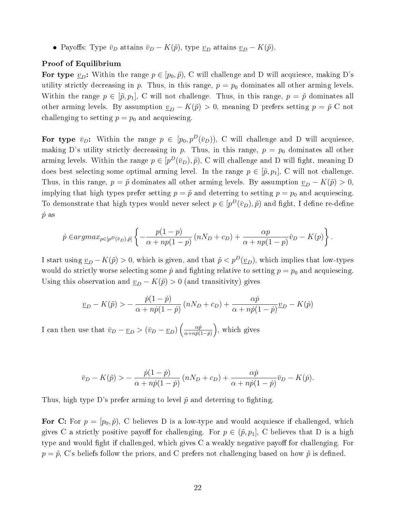• Payoffs: Type  $\bar{v}_D$  attains  $\bar{v}_D - K(\tilde{p})$ , type  $\underline{v}_D$  attains  $\underline{v}_D - K(\tilde{p})$ .

#### Proof of Equilibrium

For type  $\underline{v}_D$ : Within the range  $p \in [p_0, \tilde{p})$ , C will challenge and D will acquiesce, making D's utility strictly decreasing in p. Thus, in this range,  $p = p_0$  dominates all other arming levels. Within the range  $p \in [\tilde{p}, p_1]$ , C will not challenge. Thus, in this range,  $p = \tilde{p}$  dominates all other arming levels. By assumption  $\underline{v}_D - K(\tilde{p}) > 0$ , meaning D prefers setting  $p = \tilde{p}$  C not challenging to setting  $p = p_0$  and acquiescing.

For type  $\bar{v}_D$ : Within the range  $p \in [p_0, p^D(\bar{v}_D))$ , C will challenge and D will acquiesce, making D's utility strictly decreasing in p. Thus, in this range,  $p = p_0$  dominates all other arming levels. Within the range  $p \in [p^D(\bar{v}_D), \tilde{p})$ , C will challenge and D will fight, meaning D does best selecting some optimal arming level. In the range  $p \in [\tilde{p}, p_1]$ , C will not challenge. Thus, in this range,  $p = \tilde{p}$  dominates all other arming levels. By assumption  $v_D - K(\tilde{p}) > 0$ , implying that high types prefer setting  $p = \tilde{p}$  and deterring to setting  $p = p_0$  and acquiescing. To demonstrate that high types would never select  $p \in [p^D(\bar{v}_D), \tilde{p})$  and fight, I define re-define  $\dot{p}$  as

$$
\dot{p} \in \underset{\alpha}{argmax}_{p \in [p^D(\bar{v}_D), \bar{p}]} \left\{ -\frac{p(1-p)}{\alpha + np(1-p)} \left( nN_D + c_D \right) + \frac{\alpha p}{\alpha + np(1-p)} \bar{v}_D - K(p) \right\}.
$$

I start using  $\underline{v}_D - K(\tilde{p}) > 0$ , which is given, and that  $\tilde{p} < p^D(\underline{v}_D)$ , which implies that low-types would do strictly worse selecting some  $\dot{p}$  and fighting relative to setting  $p = p_0$  and acquiescing. Using this observation and  $\underline{v}_D - K(\tilde{p}) > 0$  (and transitivity) gives

$$
\underline{v}_D - K(\tilde{p}) > -\frac{\dot{p}(1-\dot{p})}{\alpha + n\dot{p}(1-\dot{p})} \left( nN_D + c_D \right) + \frac{\alpha \dot{p}}{\alpha + n\dot{p}(1-\dot{p})} \underline{v}_D - K(\dot{p})
$$

I can then use that  $\bar{v}_D - \underline{v}_D > (\bar{v}_D - \underline{v}_D) \left( \frac{\alpha \dot{p}}{\alpha + n \dot{p}} \right)$  $\frac{\alpha \dot{p}}{\alpha + np(1-\dot{p})}$ , which gives

$$
\bar{v}_D - K(\tilde{p}) > -\frac{\dot{p}(1-\dot{p})}{\alpha + n\dot{p}(1-\dot{p})} \left( nN_D + c_D \right) + \frac{\alpha \dot{p}}{\alpha + n\dot{p}(1-\dot{p})} \bar{v}_D - K(\dot{p}).
$$

Thus, high type D's prefer arming to level  $\tilde{p}$  and deterring to fighting.

For C: For  $p = [p_0, \tilde{p})$ , C believes D is a low-type and would acquiesce if challenged, which gives C a strictly positive payoff for challenging. For  $p \in (\tilde{p}, p_1]$ , C believes that D is a high type and would fight if challenged, which gives  $C$  a weakly negative payoff for challenging. For  $p = \tilde{p}$ , C's beliefs follow the priors, and C prefers not challenging based on how  $\tilde{p}$  is defined.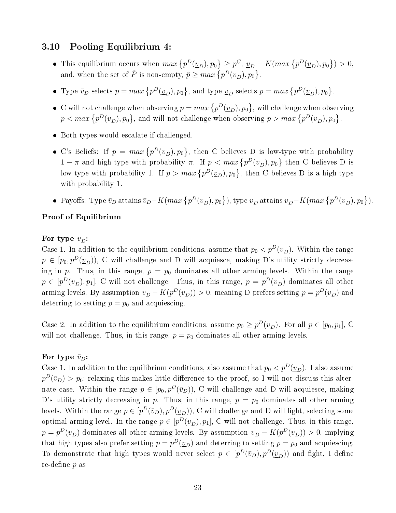### <span id="page-22-0"></span>3.10 Pooling Equilibrium 4:

- This equilibrium occurs when  $max\{p^D(\underline{v}_D), p_0\} \geq p^C, \underline{v}_D K(max\{p^D(\underline{v}_D), p_0\}) > 0,$ and, when the set of  $\tilde{P}$  is non-empty,  $\tilde{p} \ge \max\left\{p^D(\underline{v}_D), p_0\right\}$ .
- Type  $\bar{v}_D$  selects  $p = max \{p^D(\underline{v}_D), p_0\}$ , and type  $\underline{v}_D$  selects  $p = max \{p^D(\underline{v}_D), p_0\}$ .
- C will not challenge when observing  $p = max \{p^D(\underline{v}_D), p_0\}$ , will challenge when observing  $p < max\left\{p^D(\underline{v}_D), p_0\right\}$ , and will not challenge when observing  $p > max\left\{p^D(\underline{v}_D), p_0\right\}$ .
- Both types would escalate if challenged.
- C's Beliefs: If  $p = max \{p^D(\underline{v}_D), p_0\}$ , then C believes D is low-type with probability  $1 - \pi$  and high-type with probability  $\pi$ . If  $p < max \{p^D(\underline{v}_D), p_0\}$  then C believes D is low-type with probability 1. If  $p > max \{p^D(\underline{v}_D), p_0\}$ , then C believes D is a high-type with probability 1.
- Payoffs: Type  $\bar{v}_D$  attains  $\bar{v}_D K(max\{p^D(\underline{v}_D), p_0\})$ , type  $\underline{v}_D$  attains  $\underline{v}_D K(max\{p^D(\underline{v}_D), p_0\})$ .

#### Proof of Equilibrium

#### For type  $v_D$ :

Case 1. In addition to the equilibrium conditions, assume that  $p_0 < p^D(\underline{v}_D)$ . Within the range  $p \in [p_0, p^D(\underline{v}_D))$ , C will challenge and D will acquiesce, making D's utility strictly decreasing in p. Thus, in this range,  $p = p_0$  dominates all other arming levels. Within the range  $p \in [p^D(\underline{v}_D), p_1], \, \text{C}$  will not challenge. Thus, in this range,  $p = p^D(\underline{v}_D)$  dominates all other arming levels. By assumption  $\underline{v}_D - K(p^D(\underline{v}_D)) > 0$ , meaning D prefers setting  $p = p^D(\underline{v}_D)$  and deterring to setting  $p = p_0$  and acquiescing.

Case 2. In addition to the equilibrium conditions, assume  $p_0 \geq p^D(\underline{v}_D)$ . For all  $p \in [p_0, p_1]$ , C will not challenge. Thus, in this range,  $p = p_0$  dominates all other arming levels.

#### For type  $\bar{v}_D$ :

Case 1. In addition to the equilibrium conditions, also assume that  $p_0 < p^D(\underline{v}_D)$ . I also assume  $p^D(\bar v_D) > p_0;$  relaxing this makes little difference to the proof, so I will not discuss this alternate case. Within the range  $p \in [p_0, p^D(\bar{v}_D))$ , C will challenge and D will acquiesce, making D's utility strictly decreasing in p. Thus, in this range,  $p = p_0$  dominates all other arming levels. Within the range  $p \in [p^D(\bar v_D), p^D(\underline{v}_D))$ , C will challenge and D will fight, selecting some optimal arming level. In the range  $p \in [p^D(\underline{v}_D), p_1]$ , C will not challenge. Thus, in this range,  $p = p^D(\underline{v}_D)$  dominates all other arming levels. By assumption  $\underline{v}_D - K(p^D(\underline{v}_D)) > 0$ , implying that high types also prefer setting  $p = p^D(\underline{v}_D)$  and deterring to setting  $p = p_0$  and acquiescing. To demonstrate that high types would never select  $p \in [p^D(\bar{v}_D), p^D(\underline{v}_D))$  and fight, I define re-define  $\dot{p}$  as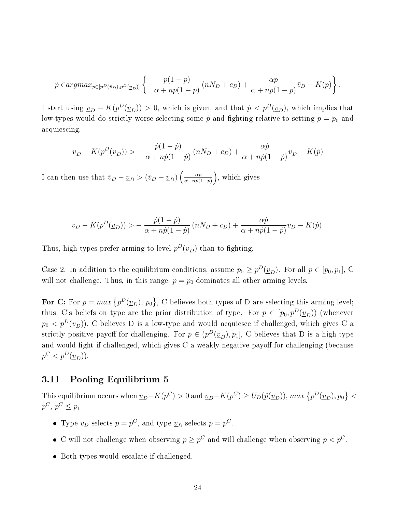$$
\dot{p} \in argmax_{p \in [p^D(\bar{v}_D), p^D(\underline{v}_D)]} \left\{ -\frac{p(1-p)}{\alpha + np(1-p)} \left( nN_D + c_D \right) + \frac{\alpha p}{\alpha + np(1-p)} \bar{v}_D - K(p) \right\}.
$$

I start using  $\underline{v}_D - K(p^D(\underline{v}_D)) > 0$ , which is given, and that  $\dot{p} < p^D(\underline{v}_D)$ , which implies that low-types would do strictly worse selecting some  $\dot{p}$  and fighting relative to setting  $p = p_0$  and acquiescing.

$$
\underline{v}_D - K(p^D(\underline{v}_D)) > -\frac{\dot{p}(1-\dot{p})}{\alpha + n\dot{p}(1-\dot{p})} \left( nN_D + c_D \right) + \frac{\alpha \dot{p}}{\alpha + n\dot{p}(1-\dot{p})} \underline{v}_D - K(\dot{p})
$$

I can then use that  $\bar{v}_D - \underline{v}_D > (\bar{v}_D - \underline{v}_D) \left( \frac{\alpha \dot{p}}{\alpha + n \dot{p} C} \right)$  $\frac{\alpha \dot{p}}{\alpha + np(1-\dot{p})}$ , which gives

$$
\bar{v}_D - K(p^D(\underline{v}_D)) > -\frac{\dot{p}(1-\dot{p})}{\alpha + n\dot{p}(1-\dot{p})} \left(nN_D + c_D\right) + \frac{\alpha\dot{p}}{\alpha + n\dot{p}(1-\dot{p})}\bar{v}_D - K(\dot{p}).
$$

Thus, high types prefer arming to level  $p^D(\underline{v}_D)$  than to fighting.

Case 2. In addition to the equilibrium conditions, assume  $p_0 \geq p^D(\underline{v}_D)$ . For all  $p \in [p_0, p_1]$ , C will not challenge. Thus, in this range,  $p = p_0$  dominates all other arming levels.

For C: For  $p = max \{ p^D(\underline{v}_D), p_0 \}$ , C believes both types of D are selecting this arming level; thus, C's beliefs on type are the prior distribution of type. For  $p \in [p_0, p^D(\underline{v}_D))$  (whenever  $p_0 < p^D(\underline{v}_D)$ , C believes D is a low-type and would acquiesce if challenged, which gives C a strictly positive payoff for challenging. For  $p \in (p^D(\underline{v}_D), p_1]$ , C believes that D is a high type and would fight if challenged, which gives  $C$  a weakly negative payoff for challenging (because  $p^C < p^D(\underline{v}_D)$ ).

### <span id="page-23-0"></span>3.11 Pooling Equilibrium 5

This equilibrium occurs when  $\underline{v}_D - K(p^C) > 0$  and  $\underline{v}_D - K(p^C) \ge U_D(\hat{p}(\underline{v}_D))$ ,  $max\left\{p^D(\underline{v}_D), p_0\right\} < 0$  $p^C, p^C \leq p_1$ 

- Type  $\bar{v}_D$  selects  $p = p^C$ , and type  $\underline{v}_D$  selects  $p = p^C$ .
- C will not challenge when observing  $p \geq p^C$  and will challenge when observing  $p < p^C$ .
- Both types would escalate if challenged.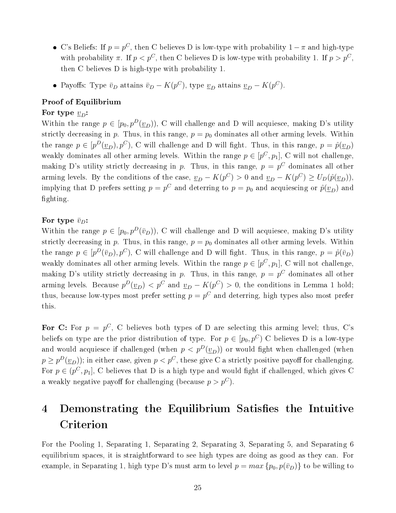- C's Beliefs: If  $p = p^C$ , then C believes D is low-type with probability  $1 \pi$  and high-type with probability  $\pi$ . If  $p < p^C$ , then C believes D is low-type with probability 1. If  $p > p^C$ , then C believes D is high-type with probability 1.
- Payoffs: Type  $\bar{v}_D$  attains  $\bar{v}_D K(p^C)$ , type  $\underline{v}_D$  attains  $\underline{v}_D K(p^C)$ .

### Proof of Equilibrium

#### For type  $v_D$ :

Within the range  $p \in [p_0, p^D(\underline{v}_D))$ , C will challenge and D will acquiesce, making D's utility strictly decreasing in p. Thus, in this range,  $p = p_0$  dominates all other arming levels. Within the range  $p \in [p^D(\underline{v}_D), p^C)$ , C will challenge and D will fight. Thus, in this range,  $p = \hat{p}(\underline{v}_D)$ weakly dominates all other arming levels. Within the range  $p \in [p^C, p_1]$ , C will not challenge, making D's utility strictly decreasing in p. Thus, in this range,  $p = p^C$  dominates all other arming levels. By the conditions of the case,  $\underline{v}_D - K(p^C) > 0$  and  $\underline{v}_D - K(p^C) \ge U_D(\hat{p}(\underline{v}_D)),$ implying that D prefers setting  $p = p^{C}$  and deterring to  $p = p_0$  and acquiescing or  $\hat{p}(\underline{v}_D)$  and fighting.

#### For type  $\bar{v}_D$ :

Within the range  $p \in [p_0, p^D(\bar{v}_D))$ , C will challenge and D will acquiesce, making D's utility strictly decreasing in p. Thus, in this range,  $p = p_0$  dominates all other arming levels. Within the range  $p \in [p^D(\bar{v}_D), p^C)$ , C will challenge and D will fight. Thus, in this range,  $p = \hat{p}(\bar{v}_D)$ weakly dominates all other arming levels. Within the range  $p \in [p^C, p_1]$ , C will not challenge, making D's utility strictly decreasing in p. Thus, in this range,  $p = p^C$  dominates all other arming levels. Because  $p^D(\underline{v}_D) < p^C$  and  $\underline{v}_D - K(p^C) > 0$ , the conditions in Lemma 1 hold; thus, because low-types most prefer setting  $p = p^C$  and deterring, high types also most prefer this.

For C: For  $p = p^C$ , C believes both types of D are selecting this arming level; thus, C's beliefs on type are the prior distribution of type. For  $p \in [p_0, p^C]$  C believes D is a low-type and would acquiesce if challenged (when  $p < p^D(\underline{v}_D)$ ) or would fight when challenged (when  $p \geq p^D(\underline{v}_D)$ ; in either case, given  $p < p^C$ , these give C a strictly positive payoff for challenging. For  $p \in (p^C, p_1]$ , C believes that D is a high type and would fight if challenged, which gives C a weakly negative payoff for challenging (because  $p > p^C$ ).

# <span id="page-24-0"></span>4 Demonstrating the Equilibrium Satisfies the Intuitive Criterion

For the Pooling 1, Separating 1, Separating 2, Separating 3, Separating 5, and Separating 6 equilibrium spaces, it is straightforward to see high types are doing as good as they can. For example, in Separating 1, high type D's must arm to level  $p = max \{p_0, p(\bar{v}_D)\}\)$  to be willing to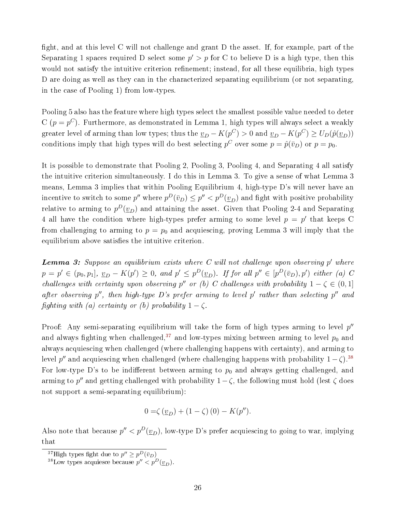fight, and at this level C will not challenge and grant D the asset. If, for example, part of the Separating 1 spaces required D select some  $p' > p$  for C to believe D is a high type, then this would not satisfy the intuitive criterion refinement; instead, for all these equilibria, high types D are doing as well as they can in the characterized separating equilibrium (or not separating, in the case of Pooling 1) from low-types.

Pooling 5 also has the feature where high types select the smallest possible value needed to deter C ( $p = p^C$ ). Furthermore, as demonstrated in Lemma 1, high types will always select a weakly greater level of arming than low types; thus the  $\underline{v}_D - K(p^C) > 0$  and  $\underline{v}_D - K(p^C) \ge U_D(\hat{p}(\underline{v}_D))$ conditions imply that high types will do best selecting  $p^C$  over some  $p = \hat{p}(\bar{v}_D)$  or  $p = p_0$ .

It is possible to demonstrate that Pooling 2, Pooling 3, Pooling 4, and Separating 4 all satisfy the intuitive criterion simultaneously. I do this in Lemma 3. To give a sense of what Lemma 3 means, Lemma 3 implies that within Pooling Equilibrium 4, high-type D's will never have an incentive to switch to some  $p''$  where  $p^D(\bar v_D)\leq p''< p^D(\underline v_D)$  and fight with positive probability relative to arming to  $p^D(\underline{v}_D)$  and attaining the asset. Given that Pooling 2-4 and Separating 4 all have the condition where high-types prefer arming to some level  $p = p'$  that keeps C from challenging to arming to  $p = p_0$  and acquiescing, proving Lemma 3 will imply that the equilibrium above satisfies the intuitive criterion.

**Lemma 3:** Suppose an equilibrium exists where C will not challenge upon observing  $p'$  where  $p = p' \in (p_0, p_1], \underline{v}_D - K(p') \ge 0$ , and  $p' \le p^D(\underline{v}_D)$ . If for all  $p'' \in [p^D(\overline{v}_D), p')$  either (a) C challenges with certainty upon observing p'' or (b) C challenges with probability  $1 - \zeta \in (0,1]$ after observing  $p''$ , then high-type D's prefer arming to level p' rather than selecting  $p''$  and fighting with (a) certainty or (b) probability  $1 - \zeta$ .

Proof: Any semi-separating equilibrium will take the form of high types arming to level  $p''$ and always fighting when challenged,<sup>[37](#page-25-0)</sup> and low-types mixing between arming to level  $p_0$  and always acquiescing when challenged (where challenging happens with certainty), and arming to level  $p''$  and acquiescing when challenged (where challenging happens with probability  $1 - \zeta$ ).<sup>[38](#page-25-1)</sup> For low-type D's to be indifferent between arming to  $p_0$  and always getting challenged, and arming to p'' and getting challenged with probability  $1-\zeta$ , the following must hold (lest  $\zeta$  does not support a semi-separating equilibrium):

$$
0 = \zeta(\underline{v}_D) + (1 - \zeta)(0) - K(p'').
$$

Also note that because  $p'' < p^D(\underline{v}_D)$ , low-type D's prefer acquiescing to going to war, implying that

<span id="page-25-0"></span><sup>&</sup>lt;sup>37</sup>High types fight due to  $p'' \geq p^D(\bar{v}_D)$ 

<span id="page-25-1"></span><sup>&</sup>lt;sup>38</sup>Low types acquiesce because  $p'' < p^{D}(\underline{v}_D)$ .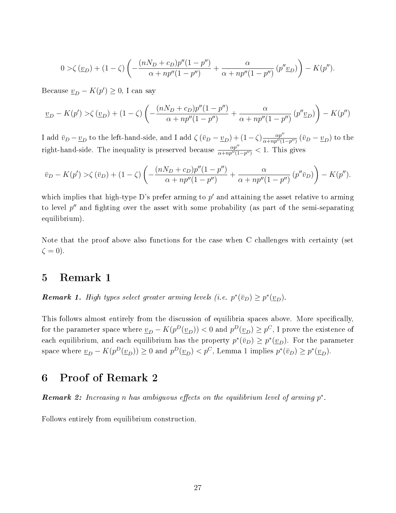$$
0 > \zeta(\underline{v}_D) + (1 - \zeta) \left( -\frac{(nN_D + c_D)p''(1 - p'')}{\alpha + np''(1 - p'')} + \frac{\alpha}{\alpha + np''(1 - p'')}(p''\underline{v}_D) \right) - K(p'').
$$

Because  $\underline{v}_D - K(p') \geq 0$ , I can say

$$
\underline{v}_D - K(p') > \zeta(\underline{v}_D) + (1 - \zeta) \left( -\frac{(nN_D + c_D)p''(1 - p'')}{\alpha + np''(1 - p'')} + \frac{\alpha}{\alpha + np''(1 - p'')} \left( p''\underline{v}_D \right) \right) - K(p'')
$$

I add  $\bar{v}_D - \underline{v}_D$  to the left-hand-side, and I add  $\zeta (\bar{v}_D - \underline{v}_D) + (1-\zeta) \frac{\alpha p''}{\alpha + np''(1-\zeta)}$  $\frac{\alpha p^{\prime\prime}}{\alpha + np^{\prime\prime}(1-p^{\prime\prime})}$   $(\bar{v}_D - \underline{v}_D)$  to the right-hand-side. The inequality is preserved because  $\frac{\alpha p''}{\alpha + np''(1-p'')} < 1$ . This gives

$$
\overline{v}_D - K(p') > \zeta(\overline{v}_D) + (1 - \zeta) \left( -\frac{(nN_D + c_D)p''(1 - p'')}{\alpha + np''(1 - p'')} + \frac{\alpha}{\alpha + np''(1 - p'')} \left( p''\overline{v}_D \right) \right) - K(p'').
$$

which implies that high-type D's prefer arming to  $p'$  and attaining the asset relative to arming to level  $p''$  and fighting over the asset with some probability (as part of the semi-separating equilibrium).

Note that the proof above also functions for the case when C challenges with certainty (set  $\zeta = 0$ ).

# <span id="page-26-0"></span>5 Remark 1

**Remark 1.** High types select greater arming levels (i.e.  $p^*(\bar{v}_D) \geq p^*(\underline{v}_D)$ .

This follows almost entirely from the discussion of equilibria spaces above. More specifically, for the parameter space where  $\underline{v}_D - K(p^D(\underline{v}_D)) < 0$  and  $p^D(\underline{v}_D) \geq p^C,$  I prove the existence of each equilibrium, and each equilibrium has the property  $p^*(\bar{v}_D) \geq p^*(\underline{v}_D)$ . For the parameter space where  $\underline{v}_D - K(p^D(\underline{v}_D)) \ge 0$  and  $p^D(\underline{v}_D) < p^C$ , Lemma 1 implies  $p^*(\bar{v}_D) \ge p^*(\underline{v}_D)$ .

# <span id="page-26-1"></span>6 Proof of Remark 2

**Remark 2:** Increasing n has ambiguous effects on the equilibrium level of arming  $p^*$ .

Follows entirely from equilibrium construction.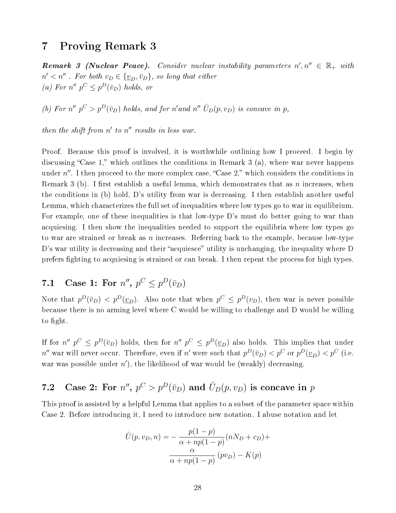# <span id="page-27-0"></span>7 Proving Remark 3

**Remark 3 (Nuclear Peace).** Consider nuclear instability parameters  $n', n'' \in \mathbb{R}_+$  with  $n' < n''$  . For both  $v_D \in {\{\underline{v}_D, \overline{v}_D\}}$ , so long that either (a) For  $n''$   $p^C \n\t\leq p^D(\bar{v}_D)$  holds, or

(b) For  $n''$   $p^C > p^D(\bar{v}_D)$  holds, and for n'and  $n'' \hat{U}_D(p, v_D)$  is concave in p,

then the shift from  $n'$  to  $n''$  results in less war.

Proof. Because this proof is involved, it is worthwhile outlining how I proceed. I begin by discussing "Case 1," which outlines the conditions in Remark 3 (a), where war never happens under  $n''$ . I then proceed to the more complex case, "Case 2," which considers the conditions in Remark 3 (b). I first establish a useful lemma, which demonstrates that as n increases, when the conditions in (b) hold, D's utility from war is decreasing. I then establish another useful Lemma, which characterizes the full set of inequalities where low types go to war in equilibrium. For example, one of these inequalities is that low-type D's must do better going to war than acquiesing. I then show the inequalities needed to support the equilibria where low types go to war are strained or break as n increases. Referring back to the example, because low-type D's war utility is decreasing and their "acquiesce" utility is unchanging, the inequality where D prefers ghting to acquiesing is strained or can break. I then repeat the process for high types.

# <span id="page-27-1"></span>7.1 Case 1: For  $n''$ ,  $p^C \leq p^D(\bar{v}_D)$

Note that  $p^D(\bar{v}_D) < p^D(\underline{v}_D)$ . Also note that when  $p^C \leq p^D(v_D)$ , then war is never possible because there is no arming level where C would be willing to challenge and D would be willing to fight.

If for  $n''$   $p^C \leq p^D(\bar{v}_D)$  holds, then for  $n''$   $p^C \leq p^D(\underline{v}_D)$  also holds. This implies that under  $n''$  war will never occur. Therefore, even if  $n'$  were such that  $p^D(\bar v_D) < p^C$  or  $p^D(\underline v_D) < p^C$  (i.e. war was possible under  $n'$ ), the likelihood of war would be (weakly) decreasing.

# <span id="page-27-2"></span>7.2 Case 2: For  $n''$ ,  $p^C > p^D(\bar{v}_D)$  and  $\hat{U}_D(p, v_D)$  is concave in  $p$

This proof is assisted by a helpful Lemma that applies to a subset of the parameter space within Case 2. Before introducing it, I need to introduce new notation. I abuse notation and let

$$
\hat{U}(p, v_D, n) = -\frac{p(1-p)}{\alpha + np(1-p)}(nN_D + c_D) + \frac{\alpha}{\alpha + np(1-p)}(pv_D) - K(p)
$$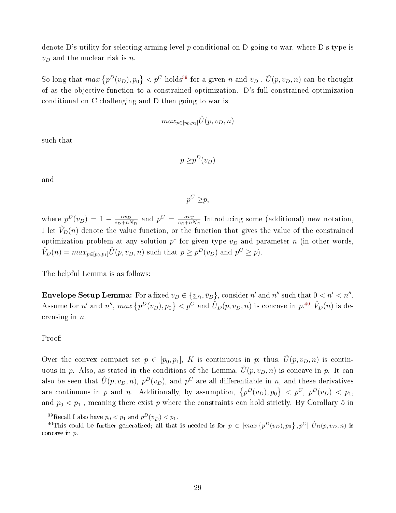denote D's utility for selecting arming level p conditional on D going to war, where D's type is  $v_D$  and the nuclear risk is n.

So long that  $max\{p^D(v_D), p_0\} < p^C$  holds<sup>[39](#page-28-0)</sup> for a given n and  $v_D$  ,  $\hat{U}(p, v_D, n)$  can be thought of as the objective function to a constrained optimization. D's full constrained optimization conditional on C challenging and D then going to war is

$$
max_{p\in[p_0,p_1]}\hat{U}(p,v_D,n)
$$

such that

$$
p \geq p^D(v_D)
$$

and

$$
p^C \geq p,
$$

where  $p^D(v_D) = 1 - \frac{\alpha v_D}{c_D + n!}$  $\frac{\alpha v_D}{c_D + nN_D}$  and  $p^C = \frac{\alpha v_C}{c_C + nR}$  $\frac{\alpha v_C}{c_C + nN_C}$  Introducing some (additional) new notation, I let  $V_D(n)$  denote the value function, or the function that gives the value of the constrained optimization problem at any solution  $p^*$  for given type  $v_D$  and parameter n (in other words,  $\hat{V}_D(n) = max_{p \in [p_0, p_1]} \hat{U}(p, v_D, n)$  such that  $p \geq p^D(v_D)$  and  $p^C \geq p$ .

The helpful Lemma is as follows:

**Envelope Setup Lemma:** For a fixed  $v_D \in \{v_D, \bar{v}_D\}$ , consider  $n'$  and  $n''$  such that  $0 < n' < n''$ . Assume for n' and n'',  $max\{p^D(v_D), p_0\} < p^C$  and  $\hat{U}_D(p, v_D, n)$  is concave in  $p^{A0}$   $\hat{V}_D(n)$  is decreasing in  $n$ .

#### Proof:

Over the convex compact set  $p \in [p_0, p_1]$ , K is continuous in p; thus,  $\hat{U}(p, v_D, n)$  is continuous in p. Also, as stated in the conditions of the Lemma,  $\hat{U}(p, v_D, n)$  is concave in p. It can also be seen that  $\hat{U}(p, v_D, n)$ ,  $p^D(v_D)$ , and  $p^C$  are all differentiable in n, and these derivatives are continuous in p and n. Additionally, by assumption,  $\{p^D(v_D), p_0\} < p^C$ ,  $p^D(v_D) < p_1$ , and  $p_0 < p_1$ , meaning there exist p where the constraints can hold strictly. By Corollary 5 in

<span id="page-28-1"></span><span id="page-28-0"></span><sup>&</sup>lt;sup>39</sup>Recall I also have  $p_0 < p_1$  and  $p^D(\underline{v}_D) < p_1$ .

<sup>&</sup>lt;sup>40</sup>This could be further generalized; all that is needed is for  $p \in [max\{p^D(v_D), p_0\}, p^C]$   $\hat{U}_D(p, v_D, n)$  is concave in p.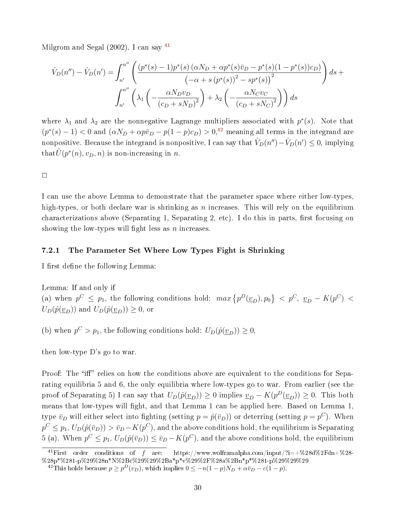Milgrom and Segal  $(2002)$ , I can say <sup>[41](#page-29-1)</sup>

$$
\hat{V}_D(n'') - \hat{V}_D(n') = \int_{n'}^{n''} \left( \frac{\left(p^*(s) - 1\right)p^*(s)\left(\alpha N_D + \alpha p^*(s)\bar{v}_D - p^*(s)(1 - p^*(s))c_D\right)}{\left(-\alpha + s\left(p^*(s)\right)^2 - sp^*(s)\right)^2}\right)ds + \int_{n'}^{n''} \left(\lambda_1 \left(-\frac{\alpha N_D v_D}{\left(c_D + sN_D\right)^2}\right) + \lambda_2 \left(-\frac{\alpha N_C v_C}{\left(c_D + sN_C\right)^2}\right)\right)ds
$$

where  $\lambda_1$  and  $\lambda_2$  are the nonnegative Lagrange multipliers associated with  $p^*(s)$ . Note that  $(p^*(s)-1)$  < 0 and  $(\alpha N_D + \alpha p \bar{v}_D - p(1-p)c_D) > 0$ <sup>[42](#page-29-2)</sup> meaning all terms in the integrand are nonpositive. Because the integrand is nonpositive, I can say that  $\hat{V}_D(n'') - \hat{V}_D(n') \leq 0,$  implying that  $\hat{U}(p^*(n), v_D, n)$  is non-increasing in n.

 $\Box$ 

I can use the above Lemma to demonstrate that the parameter space where either low-types, high-types, or both declare war is shrinking as n increases. This will rely on the equilibrium characterizations above (Separating 1, Separating 2, etc). I do this in parts, first focusing on showing the low-types will fight less as  $n$  increases.

#### <span id="page-29-0"></span>7.2.1 The Parameter Set Where Low Types Fight is Shrinking

I first define the following Lemma:

Lemma: If and only if (a) when  $p^C \leq p_1$ , the following conditions hold:  $max\{p^D(\underline{v}_D), p_0\}$   $\langle p^C, \underline{v}_D - K(p^C) \rangle$  $U_D(\hat{p}(\underline{v}_D))$  and  $U_D(\hat{p}(\underline{v}_D)) \geq 0$ , or

(b) when  $p^C > p_1$ , the following conditions hold:  $U_D(\hat{p}(\underline{v}_D)) \geq 0$ ,

then low-type D's go to war.

Proof: The "iff" relies on how the conditions above are equivalent to the conditions for Separating equilibria 5 and 6, the only equilibria where low-types go to war. From earlier (see the proof of Separating 5) I can say that  $U_D(\hat{p}(\underline{v}_D)) \ge 0$  implies  $\underline{v}_D - K(p^D(\underline{v}_D)) \ge 0$ . This both means that low-types will fight, and that Lemma 1 can be applied here. Based on Lemma 1, type  $\bar{v}_D$  will either select into fighting (setting  $p = \hat{p}(\bar{v}_D)$ ) or deterring (setting  $p = p^C$ ). When  $p^C\leq p_1,\, U_D(\hat{p}(\bar{v}_D))>\bar{v}_D-K(p^C),$  and the above conditions hold, the equilibrium is Separating 5 (a). When  $p^C \leq p_1, U_D(\hat{p}(\bar{v}_D)) \leq \bar{v}_D - K(p^C)$ , and the above conditions hold, the equilibrium

<span id="page-29-1"></span><sup>&</sup>lt;sup>41</sup>First order conditions of f are: https://www.wolframalpha.com/input/?i=+%28d%2Fdn+%28-%28p\*%281-p%29%28n\*N%2Bc%29%29%2Ba\*p\*v%29%2F%28a%2Bn\*p\*%281-p%29%29%29

<span id="page-29-2"></span><sup>&</sup>lt;sup>42</sup>This holds because  $p \ge p^D(v_D)$ , which implies  $0 \le -n(1-p)N_D + \alpha \bar{v}_D - c(1-p)$ .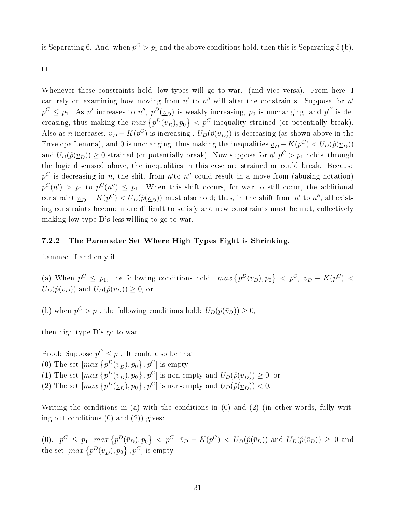is Separating 6. And, when  $p^C > p_1$  and the above conditions hold, then this is Separating 5 (b).

 $\Box$ 

Whenever these constraints hold, low-types will go to war. (and vice versa). From here, I can rely on examining how moving from  $n'$  to  $n''$  will alter the constraints. Suppose for  $n'$  $p^C \leq p_1$ . As n' increases to n'',  $p^D(\underline{v}_D)$  is weakly increasing,  $p_0$  is unchanging, and  $p^C$  is decreasing, thus making the  $max\{p^D(\underline{v}_D), p_0\} < p^C$  inequality strained (or potentially break). Also as n increases,  $\underline{v}_D - K(p^C)$  is increasing ,  $U_D(\hat{p}(\underline{v}_D))$  is decreasing (as shown above in the Envelope Lemma), and 0 is unchanging, thus making the inequalities  $\underline{v}_D - K(p^C) < U_D(\hat{p}(\underline{v}_D))$ and  $U_D(\hat{p}(\underline{v}_D)) \ge 0$  strained (or potentially break). Now suppose for  $n'$   $p^C > p_1$  holds; through the logic discussed above, the inequalities in this case are strained or could break. Because  $p^C$  is decreasing in n, the shift from  $n'$  to  $n''$  could result in a move from (abusing notation)  $p^{C}(n') \ > \ p_1$  to  $p^{C}(n'') \ \leq \ p_1.$  When this shift occurs, for war to still occur, the additional constraint  $\underline{v}_D - K(p^C) < U_D(\hat{p}(\underline{v}_D))$  must also hold; thus, in the shift from  $n'$  to  $n''$ , all existing constraints become more difficult to satisfy and new constraints must be met, collectively making low-type D's less willing to go to war.

#### <span id="page-30-0"></span>7.2.2 The Parameter Set Where High Types Fight is Shrinking.

Lemma: If and only if

(a) When  $p^C \leq p_1$ , the following conditions hold:  $max\{p^D(\bar{v}_D), p_0\} < p^C$ ,  $\bar{v}_D - K(p^C) <$  $U_D(\hat{p}(\bar{v}_D))$  and  $U_D(\hat{p}(\bar{v}_D)) \geq 0$ , or

(b) when  $p^C > p_1$ , the following conditions hold:  $U_D(\hat{p}(\bar{v}_D)) \geq 0$ ,

then high-type D's go to war.

Proof: Suppose  $p^C \leq p_1$ . It could also be that (0) The set  $\left[\max\left\{p^D(\underline{v}_D), p_0\right\}, p^C\right]$  is empty (1) The set  $\left[\max\left\{p^D(\underline{v}_D), p_0\right\}, p^C\right]$  is non-empty and  $U_D(\hat{p}(\underline{v}_D)) \geq 0$ ; or (2) The set  $\left[\max\left\{p^D(\underline{v}_D), p_0\right\}, p^C\right]$  is non-empty and  $U_D(\hat{p}(\underline{v}_D)) < 0$ .

Writing the conditions in (a) with the conditions in (0) and (2) (in other words, fully writing out conditions  $(0)$  and  $(2)$ ) gives:

 $(0)$ .  $p^{C} \leq p_{1}$ ,  $max\{p^{D}(\bar{v}_{D}), p_{0}\} < p^{C}$ ,  $\bar{v}_{D} - K(p^{C}) < U_{D}(\hat{p}(\bar{v}_{D}))$  and  $U_{D}(\hat{p}(\bar{v}_{D})) \geq 0$  and the set  $\left[\max\left\{p^D(\underline{v}_D), p_0\right\}, p^C\right]$  is empty.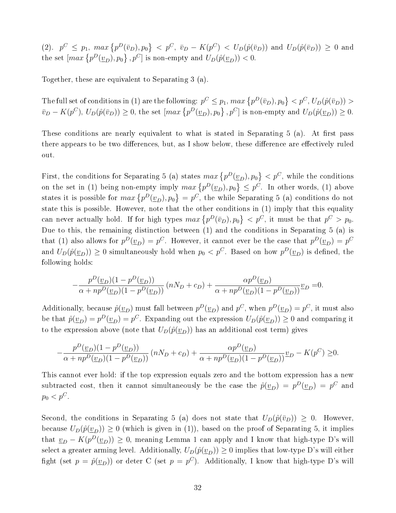$(2)$ ,  $p^C \leq p_1$ ,  $max\{p^D(\bar{v}_D), p_0\} < p^C$ ,  $\bar{v}_D - K(p^C) < U_D(\hat{p}(\bar{v}_D))$  and  $U_D(\hat{p}(\bar{v}_D)) \geq 0$  and the set  $\left[\max \left\{p^D(\underline{v}_D), p_0\right\}, p^C\right]$  is non-empty and  $U_D(\hat{p}(\underline{v}_D)) < 0$ .

Together, these are equivalent to Separating 3 (a).

The full set of conditions in (1) are the following:  $p^C \leq p_1$ ,  $max\left\{p^D(\bar v_D), p_0\right\} < p^C, U_D(\hat p(\bar v_D)) > 0$  $\bar{v}_D - K(p^C), U_D(\hat{p}(\bar{v}_D)) \ge 0$ , the set  $\left[\max\left\{p^D(\underline{v}_D), p_0\right\}, p^C\right]$  is non-empty and  $U_D(\hat{p}(\underline{v}_D)) \ge 0$ .

These conditions are nearly equivalent to what is stated in Separating  $5$  (a). At first pass there appears to be two differences, but, as I show below, these difference are effectively ruled out.

First, the conditions for Separating 5 (a) states  $max\{p^D(\underline{v}_D), p_0\} < p^C$ , while the conditions on the set in (1) being non-empty imply  $max\{p^D(\underline{v}_D), p_0\} \leq p^C$ . In other words, (1) above states it is possible for  $max\left\{p^D(\underline{v}_D), p_0\right\} = p^C$ , the while Separating 5 (a) conditions do not state this is possible. However, note that the other conditions in (1) imply that this equality can never actually hold. If for high types  $max\{p^D(\bar{v}_D), p_0\} < p^C$ , it must be that  $p^C > p_0$ . Due to this, the remaining distinction between (1) and the conditions in Separating 5 (a) is that (1) also allows for  $p^D(\underline{v}_D) = p^C$ . However, it cannot ever be the case that  $p^D(\underline{v}_D) = p^C$ and  $U_D(\hat{p}(\underline{v}_D)) \ge 0$  simultaneously hold when  $p_0 < p^C$ . Based on how  $p^D(\underline{v}_D)$  is defined, the following holds:

$$
-\frac{p^D(\underline{v}_D)(1-p^D(\underline{v}_D))}{\alpha+np^D(\underline{v}_D)(1-p^D(\underline{v}_D))} (nN_D+c_D) + \frac{\alpha p^D(\underline{v}_D)}{\alpha+np^D(\underline{v}_D)(1-p^D(\underline{v}_D))} \underline{v}_D = 0.
$$

Additionally, because  $\hat{p}(\underline{v}_D)$  must fall between  $p^D(\underline{v}_D)$  and  $p^C$ , when  $p^D(\underline{v}_D) = p^C$ , it must also be that  $\hat{p}(\underline{v}_D) = p^D(\underline{v}_D) = p^C$ . Expanding out the expression  $U_D(\hat{p}(\underline{v}_D)) \ge 0$  and comparing it to the expression above (note that  $U_D(\hat{p}(\underline{v}_D))$  has an additional cost term) gives

$$
-\frac{p^D(\underline{v}_D)(1-p^D(\underline{v}_D))}{\alpha+np^D(\underline{v}_D)(1-p^D(\underline{v}_D))} (nN_D+c_D)+\frac{\alpha p^D(\underline{v}_D)}{\alpha+np^D(\underline{v}_D)(1-p^D(\underline{v}_D))}\underline{v}_D-K(p^C)\geq 0.
$$

This cannot ever hold: if the top expression equals zero and the bottom expression has a new subtracted cost, then it cannot simultaneously be the case the  $\hat{p}(\underline{v}_D) = p^D(\underline{v}_D) = p^C$  and  $p_0 < p^C$ .

Second, the conditions in Separating 5 (a) does not state that  $U_D(\hat{p}(\bar{v}_D)) \geq 0$ . However, because  $U_D(\hat{p}(\underline{v}_D)) \geq 0$  (which is given in (1)), based on the proof of Separating 5, it implies that  $\underline{v}_D - K(p^D(\underline{v}_D)) \geq 0$ , meaning Lemma 1 can apply and I know that high-type D's will select a greater arming level. Additionally,  $U_D(\hat{p}(\underline{v}_D)) \ge 0$  implies that low-type D's will either fight (set  $p = \hat{p}(\underline{v}_D)$ ) or deter C (set  $p = p^C$ ). Additionally, I know that high-type D's will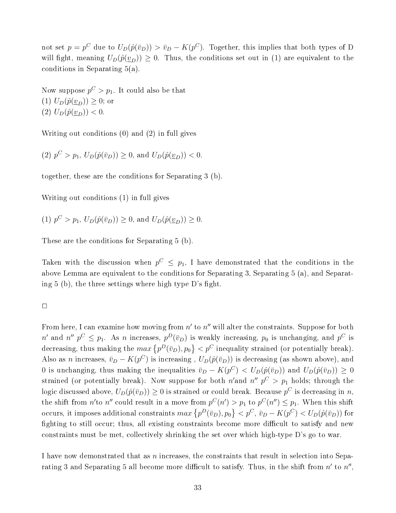not set  $p = p^C$  due to  $U_D(\hat{p}(\bar{v}_D)) > \bar{v}_D - K(p^C)$ . Together, this implies that both types of D will fight, meaning  $U_D(\hat{p}(\underline{v}_D)) \geq 0$ . Thus, the conditions set out in (1) are equivalent to the conditions in Separating 5(a).

Now suppose  $p^C > p_1$ . It could also be that  $(I) U_D(\hat{p}(v_D)) \geq 0$ ; or (2)  $U_D(\hat{p}(\underline{v}_D)) < 0.$ 

Writing out conditions (0) and (2) in full gives

(2)  $p^C > p_1$ ,  $U_D(\hat{p}(\bar{v}_D)) \ge 0$ , and  $U_D(\hat{p}(\underline{v}_D)) < 0$ .

together, these are the conditions for Separating 3 (b).

Writing out conditions (1) in full gives

(1) 
$$
p^C > p_1
$$
,  $U_D(\hat{p}(\bar{v}_D)) \ge 0$ , and  $U_D(\hat{p}(\underline{v}_D)) \ge 0$ .

These are the conditions for Separating 5 (b).

Taken with the discussion when  $p^C \leq p_1$ , I have demonstrated that the conditions in the above Lemma are equivalent to the conditions for Separating 3, Separating 5 (a), and Separating 5 (b), the three settings where high type  $D$ 's fight.

 $\Box$ 

From here, I can examine how moving from  $n'$  to  $n''$  will alter the constraints. Suppose for both  $n'$  and  $n''$   $p^C \leq p_1$ . As n increases,  $p^D(\bar{v}_D)$  is weakly increasing,  $p_0$  is unchanging, and  $p^C$  is decreasing, thus making the  $max\left\{p^D(\bar{v}_D), p_0\right\} < p^C$  inequality strained (or potentially break). Also as n increases,  $\bar{v}_D - K(p^C)$  is increasing ,  $U_D(\hat{p}(\bar{v}_D))$  is decreasing (as shown above), and 0 is unchanging, thus making the inequalities  $\bar{v}_D - K(p^C) < U_D(\hat{p}(\bar{v}_D))$  and  $U_D(\hat{p}(\bar{v}_D)) \ge 0$ strained (or potentially break). Now suppose for both  $n'$  and  $n''$   $p^C > p_1$  holds; through the logic discussed above,  $U_D(\hat{p}(\bar{v}_D))\geq 0$  is strained or could break. Because  $p^C$  is decreasing in  $n,$ the shift from n'to n'' could result in a move from  $p^{C}(n') > p_1$  to  $p^{C}(n'') \leq p_1$ . When this shift occurs, it imposes additional constraints  $max\left\{p^D(\bar v_D), p_0\right\} < p^C, \, \bar v_D - K(p^C) < U_D(\hat p(\bar v_D))$  for fighting to still occur; thus, all existing constraints become more difficult to satisfy and new constraints must be met, collectively shrinking the set over which high-type D's go to war.

I have now demonstrated that as n increases, the constraints that result in selection into Separating 3 and Separating 5 all become more difficult to satisfy. Thus, in the shift from  $n'$  to  $n''$ ,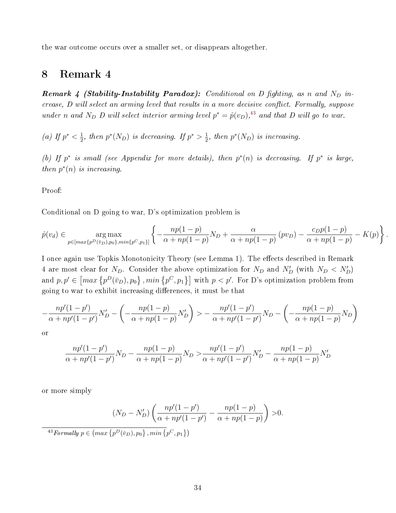the war outcome occurs over a smaller set, or disappears altogether.

# <span id="page-33-0"></span>8 Remark 4

**Remark 4 (Stability-Instability Paradox):** Conditional on D fighting, as n and  $N_D$  in $crease, D will select an arming level that results in a more decisive conflict. Formally, suppose$ under n and N<sub>D</sub> D will select interior arming level  $p^* = \hat{p}(v_D)$ ,<sup>[43](#page-33-1)</sup> and that D will go to war.

(*a*) If  $p^* < \frac{1}{2}$  $\frac{1}{2}$ , then  $p^*(N_D)$  is decreasing. If  $p^* > \frac{1}{2}$  $\frac{1}{2}$ , then  $p^*(N_D)$  is increasing.

(b) If  $p^*$  is small (see Appendix for more details), then  $p^*(n)$  is decreasing. If  $p^*$  is large, then  $p^*(n)$  is increasing.

Proof:

Conditional on D going to war, D's optimization problem is

$$
\hat{p}(v_d) \in \underset{p \in [max\{p^D(\bar{v}_D), p_0\}, min\{p^C, p_1\}]}{\arg \max} \left\{ -\frac{np(1-p)}{\alpha + np(1-p)} N_D + \frac{\alpha}{\alpha + np(1-p)} \left( pv_D \right) - \frac{c_D p(1-p)}{\alpha + np(1-p)} - K(p) \right\}.
$$

I once again use Topkis Monotonicity Theory (see Lemma 1). The effects described in Remark 4 are most clear for  $N_D$ . Consider the above optimization for  $N_D$  and  $N'_D$  (with  $N_D \langle N'_D \rangle$ ) and  $p, p' \in \left[ max \{ p^D(\bar{v}_D), p_0 \} , min \{ p^C, p_1 \} \right]$  with  $p < p'$ . For D's optimization problem from going to war to exhibit increasing differences, it must be that

$$
-\frac{np'(1-p')}{\alpha+np'(1-p')}N'_D - \left(-\frac{np(1-p)}{\alpha+np(1-p)}N'_D\right) > -\frac{np'(1-p')}{\alpha+np'(1-p')}N_D - \left(-\frac{np(1-p)}{\alpha+np(1-p)}N_D\right)
$$

or

$$
\frac{np'(1-p')}{\alpha+np'(1-p')}N_D - \frac{np(1-p)}{\alpha+np(1-p)}N_D > \frac{np'(1-p')}{\alpha+np'(1-p')}N'_D - \frac{np(1-p)}{\alpha+np(1-p)}N'_D
$$

or more simply

$$
(N_D - N'_D) \left( \frac{np'(1-p')}{\alpha + np'(1-p')} - \frac{np(1-p)}{\alpha + np(1-p)} \right) > 0.
$$

<span id="page-33-1"></span><sup>43</sup>Formally  $p \in \left( max \left\{ p^D(\bar{v}_D), p_0 \right\}, min \left\{ p^C, p_1 \right\} \right)$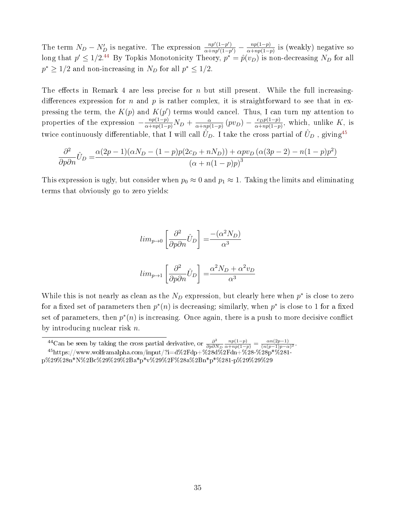The term  $N_D - N'_D$  is negative. The expression  $\frac{np'(1-p')}{\alpha + np'(1-p)}$  $\frac{np'(1-p')}{\alpha+np'(1-p')}$  —  $\frac{np(1-p)}{\alpha+np(1-p)}$  $\frac{np(1-p)}{\alpha+np(1-p)}$  is (weakly) negative so long that  $p' \leq 1/2^{44}$  $p' \leq 1/2^{44}$  $p' \leq 1/2^{44}$  By Topkis Monotonicity Theory,  $p^* = \hat{p}(v_D)$  is non-decreasing  $N_D$  for all  $p^* \geq 1/2$  and non-increasing in  $N_D$  for all  $p^* \leq 1/2$ .

The effects in Remark 4 are less precise for n but still present. While the full increasingdifferences expression for n and p is rather complex, it is straightforward to see that in expressing the term, the  $K(p)$  and  $K(p')$  terms would cancel. Thus, I can turn my attention to properties of the expression  $-\frac{np(1-p)}{\alpha+np(1-p)}N_D + \frac{\alpha}{\alpha+np(1-p)}$  $\frac{\alpha}{\alpha+np(1-p)}(pv_D) - \frac{c_Dp(1-p)}{\alpha+np(1-p)}$  $\frac{c_D p(1-p)}{\alpha + np(1-p)}$ , which, unlike K, is twice continuously differentiable, that I will call  $\hat{U}_D$ . I take the cross partial of  $\hat{U}_D$  , giving<sup>[45](#page-34-1)</sup>

$$
\frac{\partial^2}{\partial p \partial n} \hat{U}_D = \frac{\alpha (2p - 1)(\alpha N_D - (1 - p)p(2c_D + nN_D)) + \alpha p v_D (\alpha (3p - 2) - n(1 - p)p^2)}{(\alpha + n(1 - p)p)^3}
$$

This expression is ugly, but consider when  $p_0 \approx 0$  and  $p_1 \approx 1$ . Taking the limits and eliminating terms that obviously go to zero yields:

$$
lim_{p \to 0} \left[ \frac{\partial^2}{\partial p \partial n} \hat{U}_D \right] = \frac{-(\alpha^2 N_D)}{\alpha^3}
$$
  

$$
lim_{p \to 1} \left[ \frac{\partial^2}{\partial p \partial n} \hat{U}_D \right] = \frac{\alpha^2 N_D + \alpha^2 v_D}{\alpha^3}
$$

While this is not nearly as clean as the  $N_D$  expression, but clearly here when  $p^*$  is close to zero for a fixed set of parameters then  $p^*(n)$  is decreasing; similarly, when  $p^*$  is close to 1 for a fixed set of parameters, then  $p^*(n)$  is increasing. Once again, there is a push to more decisive conflict by introducing nuclear risk n.

<span id="page-34-1"></span><span id="page-34-0"></span><sup>&</sup>lt;sup>44</sup>Can be seen by taking the cross partial derivative, or  $\frac{\partial^2}{\partial n \partial l}$  $\partial p\partial N_D$  $\frac{np(1-p)}{\alpha+np(1-p)} = \frac{\alpha n(2p-1)}{(n(p-1)p-\alpha)}$  $\frac{\alpha n (2p-1)}{(n(p-1)p-\alpha)^2}.$  $^{45}$ https://www.wolframalpha.com/input/?i=d%2Fdp+%28d%2Fdn+%28-%28p\*%281-

p%29%28n\*N%2Bc%29%29%2Ba\*p\*v%29%2F%28a%2Bn\*p\*%281-p%29%29%29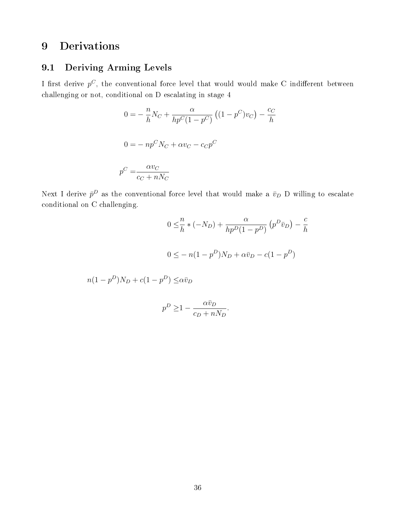# <span id="page-35-0"></span>9 Derivations

# <span id="page-35-1"></span>9.1 Deriving Arming Levels

I first derive  $p^C$ , the conventional force level that would would make C indifferent between challenging or not, conditional on D escalating in stage 4

$$
0 = -\frac{n}{h}N_C + \frac{\alpha}{hp^C(1 - p^C)}((1 - p^C)v_C) - \frac{c_C}{h}
$$

$$
0 = -np^CN_C + \alpha v_C - c_Cp^C
$$

$$
p^C = \frac{\alpha v_C}{c_C + nN_C}
$$

Next I derive  $\bar{p}^D$  as the conventional force level that would make a  $\bar{v}_D$  D willing to escalate conditional on C challenging.

$$
0 \leq \frac{n}{h} * (-N_D) + \frac{\alpha}{hp^D(1 - p^D)} (p^D \bar{v}_D) - \frac{c}{h}
$$
  

$$
0 \leq -n(1 - p^D)N_D + \alpha \bar{v}_D - c(1 - p^D)
$$

$$
n(1 - p^D)N_D + c(1 - p^D) \le \alpha \bar{v}_D
$$

$$
p^D \ge 1 - \frac{\alpha \bar{v}_D}{c_D + nN_D}.
$$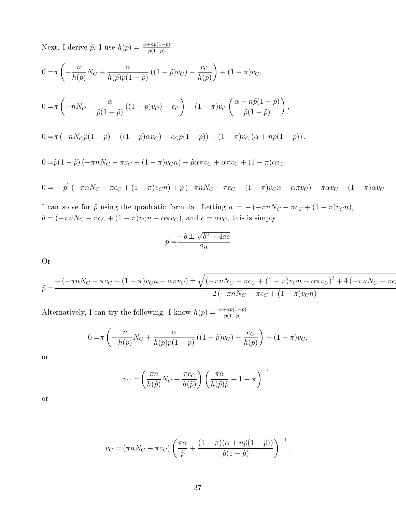Next, I derive  $\tilde{p}$ . I use  $h(p) = \frac{\alpha + np(1-p)}{p(1-p)}$ 

$$
0 = \pi \left( -\frac{n}{h(\tilde{p})} N_C + \frac{\alpha}{h(\tilde{p}) \tilde{p}(1-\tilde{p})} \left( (1-\tilde{p}) v_C \right) - \frac{c_C}{h(\tilde{p})} \right) + (1-\pi) v_C,
$$
  
\n
$$
0 = \pi \left( -nN_C + \frac{\alpha}{\tilde{p}(1-\tilde{p})} \left( (1-\tilde{p}) v_C \right) - c_C \right) + (1-\pi) v_C \left( \frac{\alpha + n\tilde{p}(1-\tilde{p})}{\tilde{p}(1-\tilde{p})} \right),
$$
  
\n
$$
0 = \pi \left( -nN_C \tilde{p}(1-\tilde{p}) + \left( (1-\tilde{p})\alpha v_C \right) - c_C \tilde{p}(1-\tilde{p}) \right) + (1-\pi) v_C \left( \alpha + n\tilde{p}(1-\tilde{p}) \right),
$$
  
\n
$$
0 = \tilde{p}(1-\tilde{p}) \left( -\pi n N_C - \pi c_C + (1-\pi) v_C n \right) - \tilde{p} \alpha \pi v_C + \alpha \pi v_C + (1-\pi) \alpha v_C
$$
  
\n
$$
0 = -\tilde{p}^2 \left( -\pi n N_C - \pi c_C + (1-\pi) v_C n \right) + \tilde{p} \left( -\pi n N_C - \pi c_C + (1-\pi) v_C n - \alpha \pi v_C \right) + \pi \alpha v_C + (1-\pi) \alpha v_C
$$

I can solve for  $\tilde{p}$  using the quadratic formula. Letting  $a = -(-\pi nN_C - \pi c_C + (1-\pi)v_Cn)$ ,  $b = (-\pi nN_C - \pi c_C + (1 - \pi)v_C n - \alpha \pi v_C)$ , and  $c = \alpha v_C$ , this is simply

$$
\tilde{p} = \frac{-b \pm \sqrt{b^2 - 4ac}}{2a}
$$

Or

$$
\tilde{p} = \frac{-(-\pi n N_C - \pi c_C + (1 - \pi)v_{C}n - \alpha \pi v_C) \pm \sqrt{(-\pi n N_C - \pi c_C + (1 - \pi)v_{C}n - \alpha \pi v_C)^2 + 4(-\pi n N_C - \pi c_C)}{-2(-\pi n N_C - \pi c_C + (1 - \pi)v_{C}n)}
$$

Alternatively, I can try the following. I know  $h(p) = \frac{\alpha + np(1-p)}{p(1-p)}$ 

$$
0 = \pi \left( -\frac{n}{h(\tilde{p})} N_C + \frac{\alpha}{h(\tilde{p}) \tilde{p}(1-\tilde{p})} \left( (1-\tilde{p}) v_C \right) - \frac{c_C}{h(\tilde{p})} \right) + (1-\pi) v_C,
$$

or

$$
v_C = \left(\frac{\pi n}{h(\tilde{p})}N_C + \frac{\pi c_C}{h(\tilde{p})}\right) \left(\frac{\pi \alpha}{h(\tilde{p})\tilde{p}} + 1 - \pi\right)^{-1}.
$$

or

$$
v_C = (\pi n N_C + \pi c_C) \left( \frac{\pi \alpha}{\tilde{p}} + \frac{(1 - \pi)(\alpha + n\tilde{p}(1 - \tilde{p}))}{\tilde{p}(1 - \tilde{p})} \right)^{-1}.
$$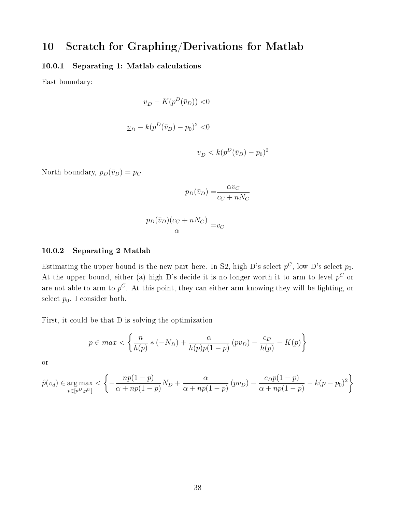# <span id="page-37-0"></span>10 Scratch for Graphing/Derivations for Matlab

## <span id="page-37-1"></span>10.0.1 Separating 1: Matlab calculations

East boundary:

$$
\underline{v}_D - K(p^D(\bar{v}_D)) < 0
$$
  

$$
\underline{v}_D - k(p^D(\bar{v}_D) - p_0)^2 < 0
$$
  

$$
\underline{v}_D < k(p^D(\bar{v}_D) - p_0)^2
$$

North boundary,  $p_D(\bar{v}_D) = p_C$ .

$$
p_D(\bar{v}_D) = \frac{\alpha v_C}{c_C + nN_C}
$$

$$
\frac{p_D(\bar{v}_D)(c_C + nN_C)}{\alpha} = v_C
$$

#### <span id="page-37-2"></span>10.0.2 Separating 2 Matlab

Estimating the upper bound is the new part here. In S2, high D's select  $p^C$ , low D's select  $p_0$ . At the upper bound, either (a) high D's decide it is no longer worth it to arm to level  $p^C$  or are not able to arm to  $p^C$ . At this point, they can either arm knowing they will be fighting, or select  $p_0$ . I consider both.

First, it could be that D is solving the optimization

$$
p \in max \lt \left\{ \frac{n}{h(p)} * (-N_D) + \frac{\alpha}{h(p)p(1-p)} (pv_D) - \frac{c_D}{h(p)} - K(p) \right\}
$$

or

$$
\hat{p}(v_d) \in \underset{p \in [p^D, p^C]}{\arg \max} < \left\{ -\frac{np(1-p)}{\alpha + np(1-p)} N_D + \frac{\alpha}{\alpha + np(1-p)} \left( pv_D \right) - \frac{c_D p (1-p)}{\alpha + np(1-p)} - k(p - p_0)^2 \right\}
$$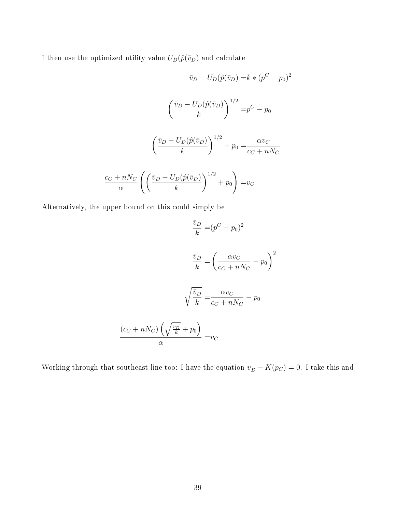I then use the optimized utility value  $U_D(\hat{p}(\bar{v}_D)$  and calculate

$$
\bar{v}_D - U_D(\hat{p}(\bar{v}_D)) = k * (p^C - p_0)^2
$$

$$
\left(\frac{\bar{v}_D - U_D(\hat{p}(\bar{v}_D))}{k}\right)^{1/2} = p^C - p_0
$$

$$
\left(\frac{\bar{v}_D - U_D(\hat{p}(\bar{v}_D))}{k}\right)^{1/2} + p_0 = \frac{\alpha v_C}{c_C + nN_C}
$$

$$
\frac{c_C + nN_C}{\alpha} \left(\left(\frac{\bar{v}_D - U_D(\hat{p}(\bar{v}_D))}{k}\right)^{1/2} + p_0\right) = v_C
$$

Alternatively, the upper bound on this could simply be

$$
\frac{\bar{v}_D}{k} = (p^C - p_0)^2
$$

$$
\frac{\bar{v}_D}{k} = \left(\frac{\alpha v_C}{c_C + nN_C} - p_0\right)^2
$$

$$
\sqrt{\frac{\bar{v}_D}{k}} = \frac{\alpha v_C}{c_C + nN_C} - p_0
$$

$$
\frac{(c_C + nN_C)\left(\sqrt{\frac{\bar{v}_D}{k}} + p_0\right)}{\alpha} = v_C
$$

Working through that southeast line too: I have the equation  $\underline{v}_D - K(p_C) = 0$ . I take this and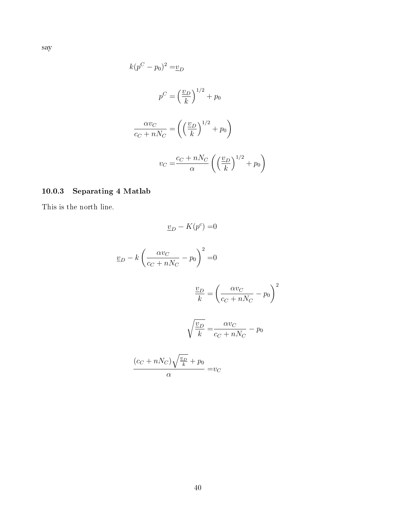$$
k(p^{C} - p_{0})^{2} = \underline{v}_{D}
$$
  

$$
p^{C} = \left(\frac{\underline{v}_{D}}{k}\right)^{1/2} + p_{0}
$$
  

$$
\frac{\alpha v_{C}}{c_{C} + nN_{C}} = \left(\left(\frac{\underline{v}_{D}}{k}\right)^{1/2} + p_{0}\right)
$$
  

$$
v_{C} = \frac{c_{C} + nN_{C}}{\alpha} \left(\left(\frac{\underline{v}_{D}}{k}\right)^{1/2} + p_{0}\right)
$$

# <span id="page-39-0"></span>10.0.3 Separating 4 Matlab

This is the north line.

$$
\underline{v}_D - K(p^c) = 0
$$
  

$$
\underline{v}_D - k \left(\frac{\alpha v_C}{c_C + nN_C} - p_0\right)^2 = 0
$$
  

$$
\frac{\underline{v}_D}{k} = \left(\frac{\alpha v_C}{c_C + nN_C} - p_0\right)^2
$$
  

$$
\sqrt{\frac{v_D}{k}} = \frac{\alpha v_C}{c_C + nN_C} - p_0
$$
  

$$
\frac{(c_C + nN_C)\sqrt{\frac{v_D}{k}} + p_0}{\alpha} = v_C
$$

say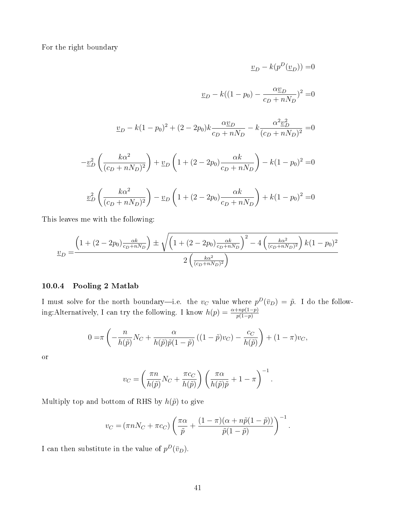For the right boundary

$$
\underline{v}_D - k(p^D(\underline{v}_D)) = 0
$$
  

$$
\underline{v}_D - k((1 - p_0) - \frac{\alpha \underline{v}_D}{c_D + nN_D})^2 = 0
$$
  

$$
\underline{v}_D - k(1 - p_0)^2 + (2 - 2p_0)k \frac{\alpha \underline{v}_D}{c_D + nN_D} - k \frac{\alpha^2 \underline{v}_D^2}{(c_D + nN_D)^2} = 0
$$
  

$$
-\underline{v}_D^2 \left(\frac{k\alpha^2}{(c_D + nN_D)^2}\right) + \underline{v}_D \left(1 + (2 - 2p_0)\frac{\alpha k}{c_D + nN_D}\right) - k(1 - p_0)^2 = 0
$$
  

$$
\underline{v}_D^2 \left(\frac{k\alpha^2}{(c_D + nN_D)^2}\right) - \underline{v}_D \left(1 + (2 - 2p_0)\frac{\alpha k}{c_D + nN_D}\right) + k(1 - p_0)^2 = 0
$$

This leaves me with the following:

$$
\underline{v}_D = \frac{\left(1 + (2 - 2p_0)\frac{\alpha k}{c_D + nN_D}\right) \pm \sqrt{\left(1 + (2 - 2p_0)\frac{\alpha k}{c_D + nN_D}\right)^2 - 4\left(\frac{k\alpha^2}{(c_D + nN_D)^2}\right)k(1 - p_0)^2}}{2\left(\frac{k\alpha^2}{(c_D + nN_D)^2}\right)}
$$

#### <span id="page-40-0"></span>10.0.4 Pooling 2 Matlab

I must solve for the north boundary—i.e. the  $v_C$  value where  $p^D(\bar{v}_D) = \tilde{p}$ . I do the following:Alternatively, I can try the following. I know  $h(p) = \frac{\alpha + np(1-p)}{p(1-p)}$ 

$$
0 = \pi \left( -\frac{n}{h(\tilde{p})} N_C + \frac{\alpha}{h(\tilde{p}) \tilde{p}(1-\tilde{p})} \left( (1-\tilde{p}) v_C \right) - \frac{c_C}{h(\tilde{p})} \right) + (1-\pi) v_C,
$$

or

$$
v_C = \left(\frac{\pi n}{h(\tilde{p})}N_C + \frac{\pi c_C}{h(\tilde{p})}\right) \left(\frac{\pi \alpha}{h(\tilde{p})\tilde{p}} + 1 - \pi\right)^{-1}.
$$

Multiply top and bottom of RHS by  $h(\tilde{p})$  to give

$$
v_C = (\pi n N_C + \pi c_C) \left( \frac{\pi \alpha}{\tilde{p}} + \frac{(1 - \pi)(\alpha + n\tilde{p}(1 - \tilde{p}))}{\tilde{p}(1 - \tilde{p})} \right)^{-1}.
$$

I can then substitute in the value of  $p^D(\bar{v}_D)$ .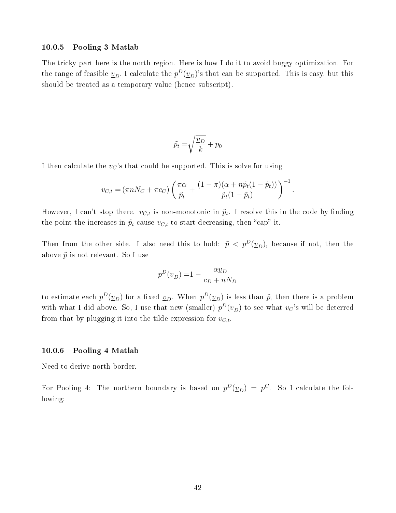#### <span id="page-41-0"></span>10.0.5 Pooling 3 Matlab

The tricky part here is the north region. Here is how I do it to avoid buggy optimization. For the range of feasible  $\underline{v}_D$ , I calculate the  $p^D(\underline{v}_D)$ 's that can be supported. This is easy, but this should be treated as a temporary value (hence subscript).

$$
\tilde{p}_t = \sqrt{\frac{v_D}{k}} + p_0
$$

I then calculate the  $v_{\mathcal{C}}$ 's that could be supported. This is solve for using

$$
v_{C,t} = (\pi n N_C + \pi c_C) \left( \frac{\pi \alpha}{\tilde{p}_t} + \frac{(1 - \pi)(\alpha + n\tilde{p}_t(1 - \tilde{p}_t))}{\tilde{p}_t(1 - \tilde{p}_t)} \right)^{-1}.
$$

However, I can't stop there.  $v_{C,t}$  is non-monotonic in  $\tilde{p}_t$ . I resolve this in the code by finding the point the increases in  $\tilde{p}_t$  cause  $v_{C,t}$  to start decreasing, then "cap" it.

Then from the other side. I also need this to hold:  $\tilde{p} < p^D(\underline{v}_D)$ , because if not, then the above  $\tilde{p}$  is not relevant. So I use

$$
p^D(\underline{v}_D) = 1 - \frac{\alpha \underline{v}_D}{c_D + nN_D}
$$

to estimate each  $p^D(\underline{v}_D)$  for a fixed  $\underline{v}_D$ . When  $p^D(\underline{v}_D)$  is less than  $\tilde{p}$ , then there is a problem with what I did above. So, I use that new (smaller)  $p^D(\underline{v}_D)$  to see what  $v_C$ 's will be deterred from that by plugging it into the tilde expression for  $v_{C,t}$ .

#### <span id="page-41-1"></span>10.0.6 Pooling 4 Matlab

Need to derive north border.

For Pooling 4: The northern boundary is based on  $p^D(\underline{v}_D) = p^C$ . So I calculate the following: